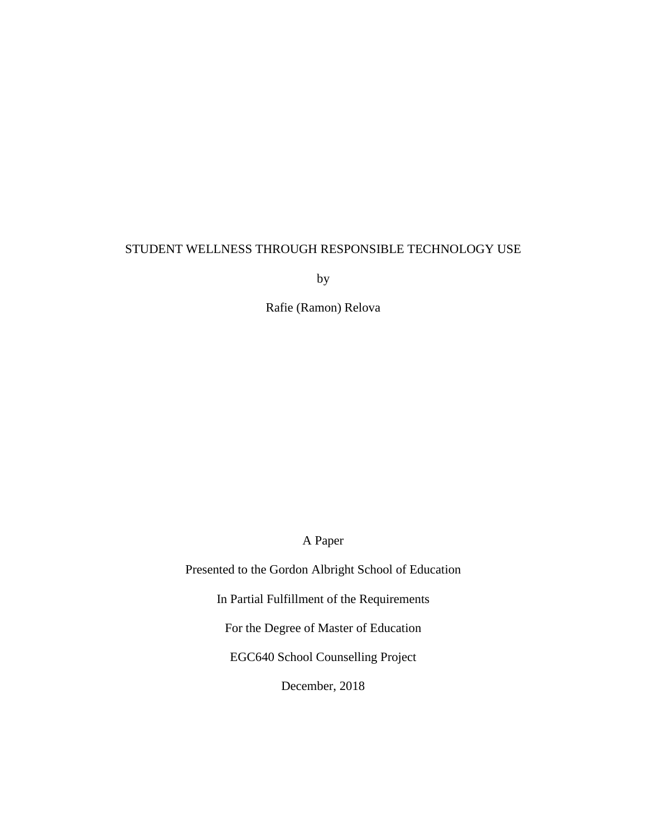## STUDENT WELLNESS THROUGH RESPONSIBLE TECHNOLOGY USE

by

Rafie (Ramon) Relova

A Paper

Presented to the Gordon Albright School of Education

In Partial Fulfillment of the Requirements

For the Degree of Master of Education

EGC640 School Counselling Project

December, 2018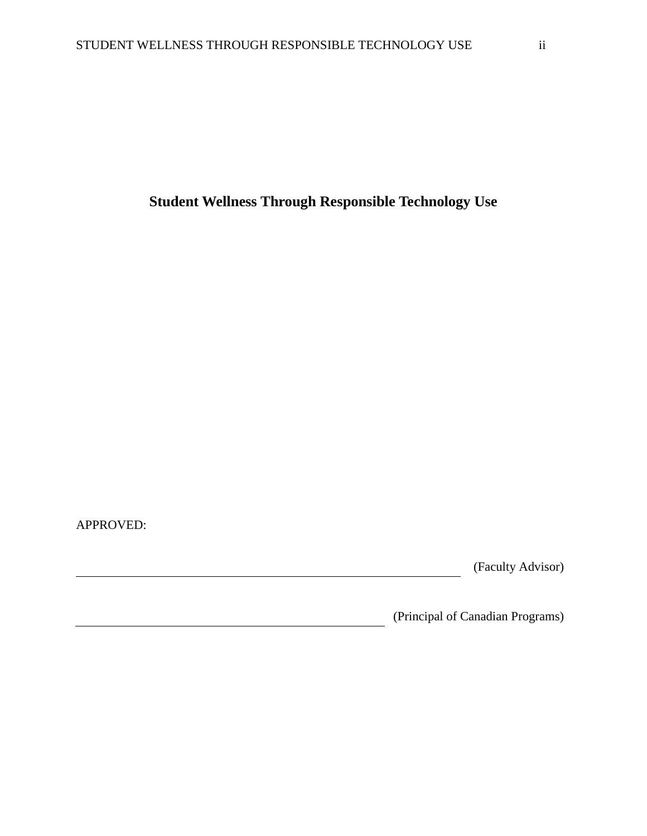**Student Wellness Through Responsible Technology Use**

APPROVED:

(Faculty Advisor)

(Principal of Canadian Programs)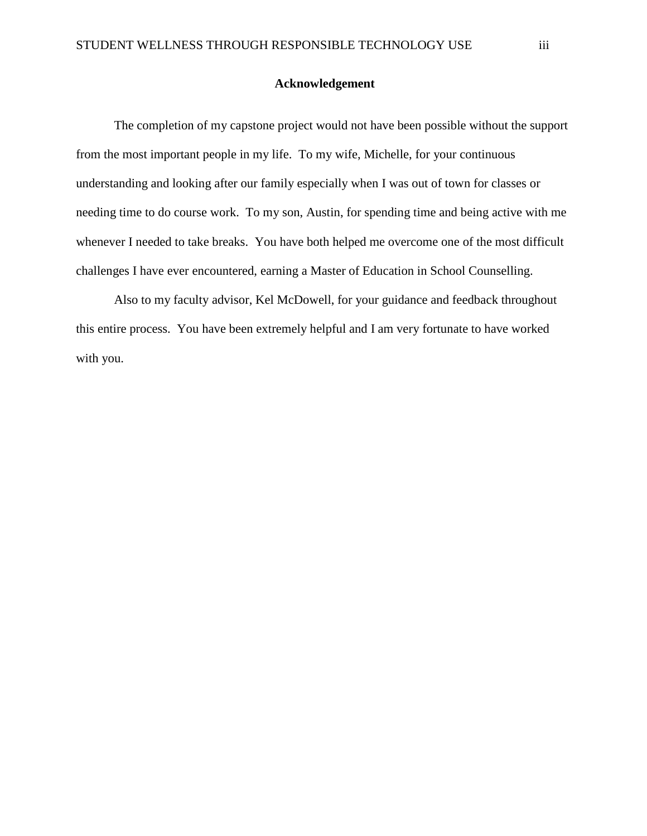## <span id="page-2-0"></span>**Acknowledgement**

The completion of my capstone project would not have been possible without the support from the most important people in my life. To my wife, Michelle, for your continuous understanding and looking after our family especially when I was out of town for classes or needing time to do course work. To my son, Austin, for spending time and being active with me whenever I needed to take breaks. You have both helped me overcome one of the most difficult challenges I have ever encountered, earning a Master of Education in School Counselling.

Also to my faculty advisor, Kel McDowell, for your guidance and feedback throughout this entire process. You have been extremely helpful and I am very fortunate to have worked with you.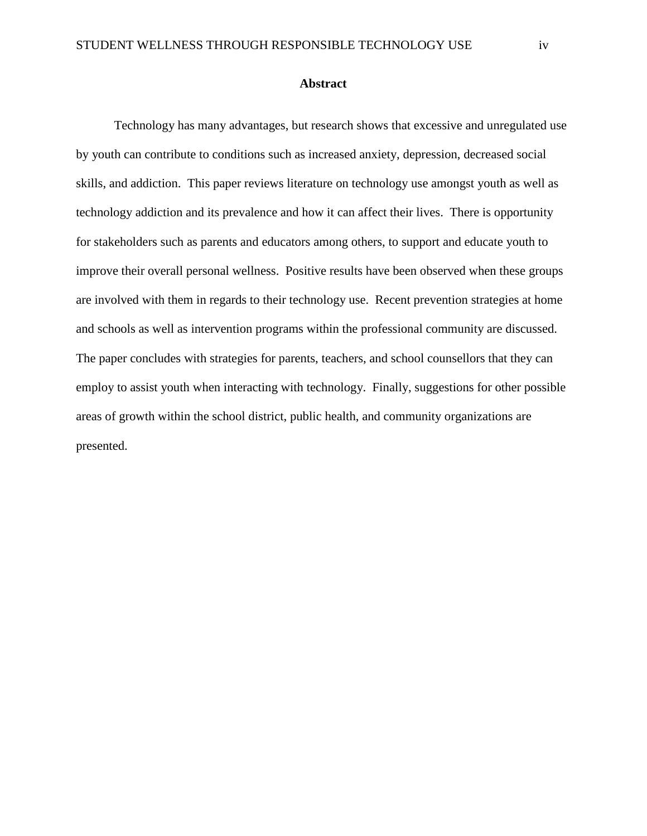#### **Abstract**

<span id="page-3-0"></span>Technology has many advantages, but research shows that excessive and unregulated use by youth can contribute to conditions such as increased anxiety, depression, decreased social skills, and addiction. This paper reviews literature on technology use amongst youth as well as technology addiction and its prevalence and how it can affect their lives. There is opportunity for stakeholders such as parents and educators among others, to support and educate youth to improve their overall personal wellness. Positive results have been observed when these groups are involved with them in regards to their technology use. Recent prevention strategies at home and schools as well as intervention programs within the professional community are discussed. The paper concludes with strategies for parents, teachers, and school counsellors that they can employ to assist youth when interacting with technology. Finally, suggestions for other possible areas of growth within the school district, public health, and community organizations are presented.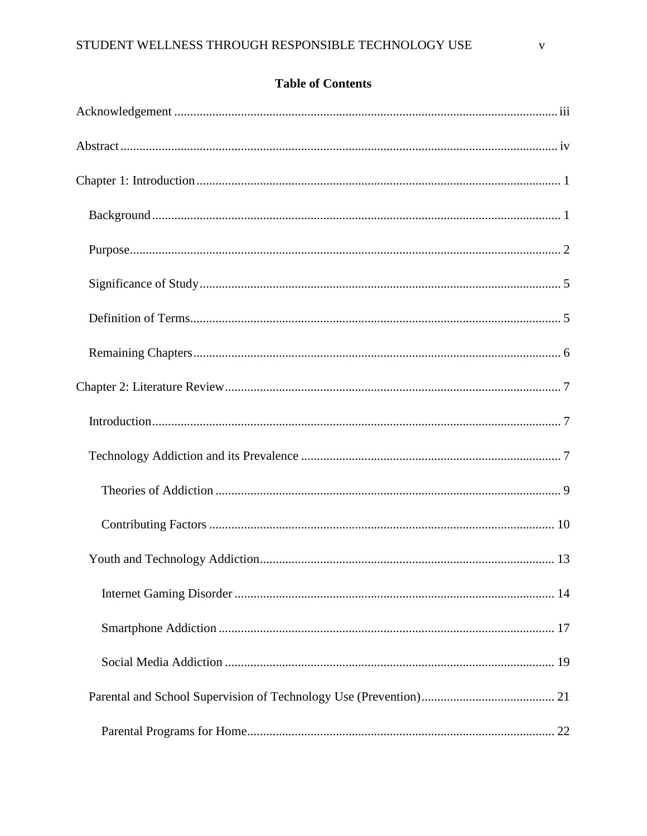# **Table of Contents**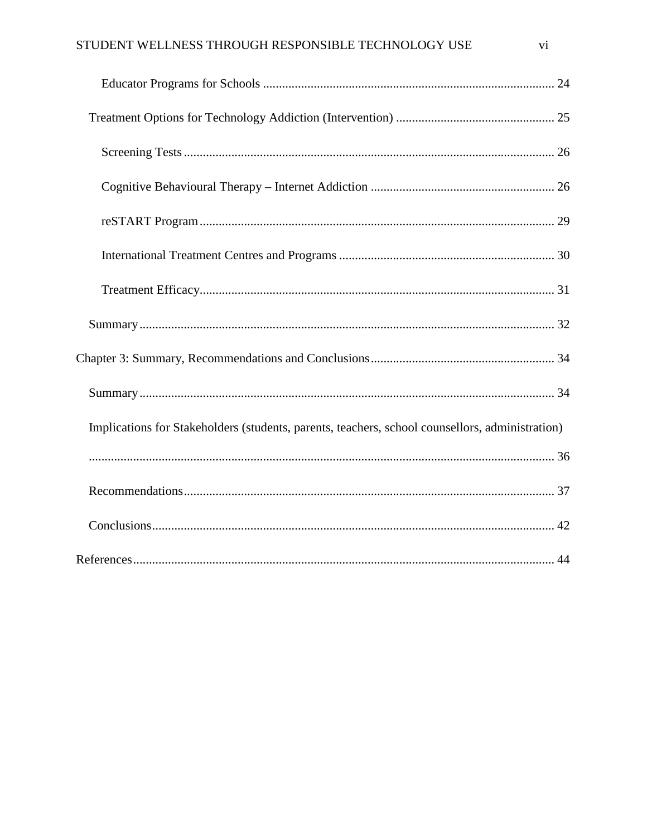# STUDENT WELLNESS THROUGH RESPONSIBLE TECHNOLOGY USE

| Implications for Stakeholders (students, parents, teachers, school counsellors, administration) |  |
|-------------------------------------------------------------------------------------------------|--|
|                                                                                                 |  |
|                                                                                                 |  |
|                                                                                                 |  |
|                                                                                                 |  |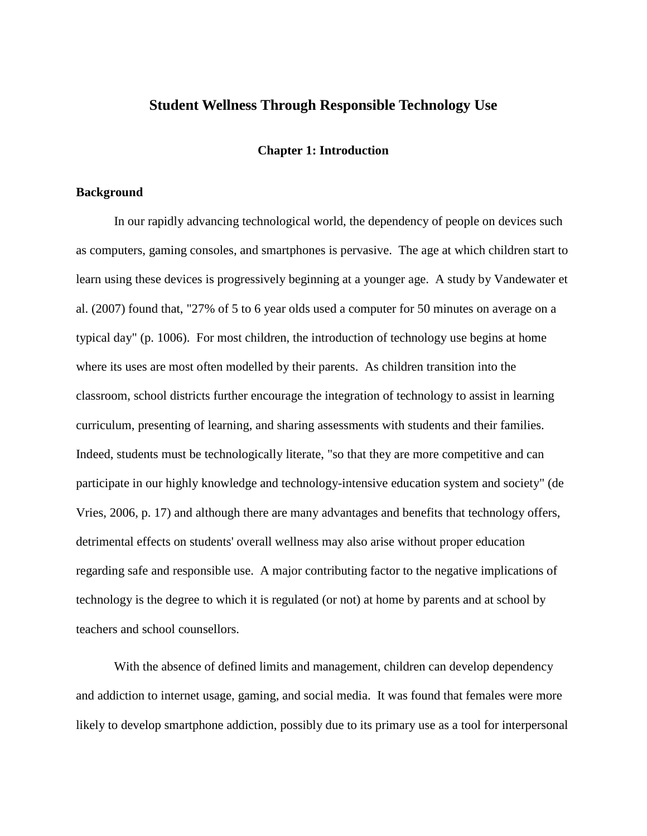## **Student Wellness Through Responsible Technology Use**

### **Chapter 1: Introduction**

#### <span id="page-6-1"></span><span id="page-6-0"></span>**Background**

In our rapidly advancing technological world, the dependency of people on devices such as computers, gaming consoles, and smartphones is pervasive. The age at which children start to learn using these devices is progressively beginning at a younger age. A study by Vandewater et al. (2007) found that, "27% of 5 to 6 year olds used a computer for 50 minutes on average on a typical day" (p. 1006). For most children, the introduction of technology use begins at home where its uses are most often modelled by their parents. As children transition into the classroom, school districts further encourage the integration of technology to assist in learning curriculum, presenting of learning, and sharing assessments with students and their families. Indeed, students must be technologically literate, "so that they are more competitive and can participate in our highly knowledge and technology-intensive education system and society" (de Vries, 2006, p. 17) and although there are many advantages and benefits that technology offers, detrimental effects on students' overall wellness may also arise without proper education regarding safe and responsible use. A major contributing factor to the negative implications of technology is the degree to which it is regulated (or not) at home by parents and at school by teachers and school counsellors.

With the absence of defined limits and management, children can develop dependency and addiction to internet usage, gaming, and social media. It was found that females were more likely to develop smartphone addiction, possibly due to its primary use as a tool for interpersonal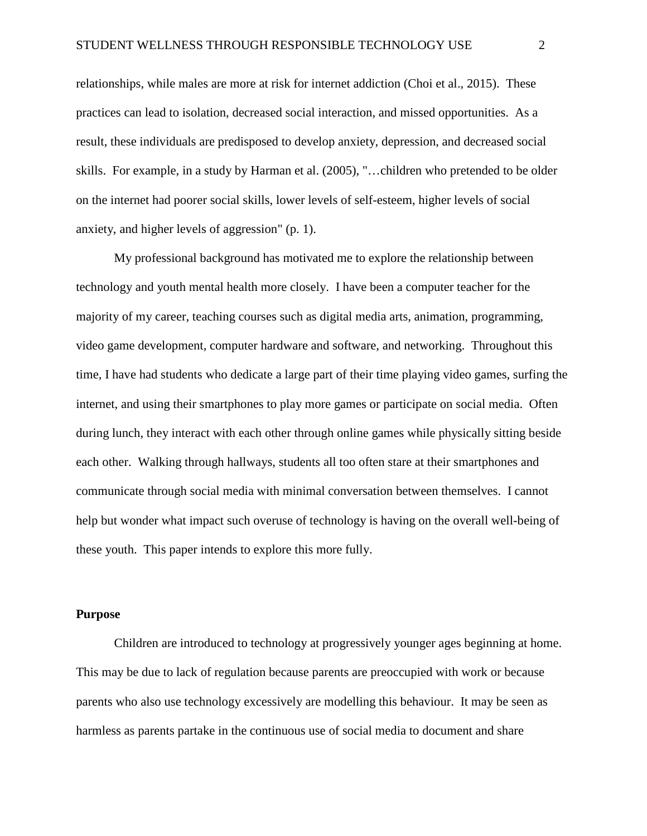relationships, while males are more at risk for internet addiction (Choi et al., 2015). These practices can lead to isolation, decreased social interaction, and missed opportunities. As a result, these individuals are predisposed to develop anxiety, depression, and decreased social skills. For example, in a study by Harman et al. (2005), "…children who pretended to be older on the internet had poorer social skills, lower levels of self-esteem, higher levels of social anxiety, and higher levels of aggression" (p. 1).

My professional background has motivated me to explore the relationship between technology and youth mental health more closely. I have been a computer teacher for the majority of my career, teaching courses such as digital media arts, animation, programming, video game development, computer hardware and software, and networking. Throughout this time, I have had students who dedicate a large part of their time playing video games, surfing the internet, and using their smartphones to play more games or participate on social media. Often during lunch, they interact with each other through online games while physically sitting beside each other. Walking through hallways, students all too often stare at their smartphones and communicate through social media with minimal conversation between themselves. I cannot help but wonder what impact such overuse of technology is having on the overall well-being of these youth. This paper intends to explore this more fully.

#### <span id="page-7-0"></span>**Purpose**

Children are introduced to technology at progressively younger ages beginning at home. This may be due to lack of regulation because parents are preoccupied with work or because parents who also use technology excessively are modelling this behaviour. It may be seen as harmless as parents partake in the continuous use of social media to document and share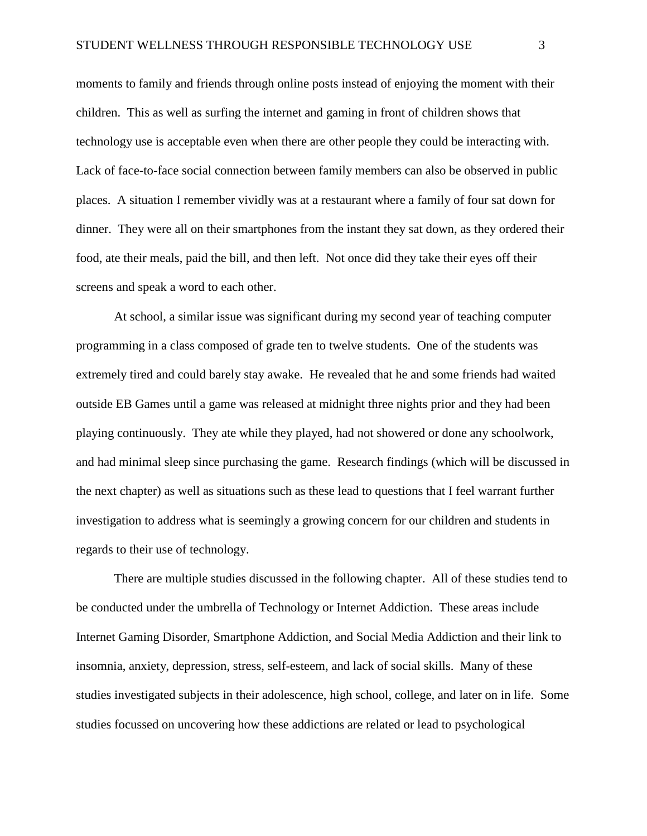moments to family and friends through online posts instead of enjoying the moment with their children. This as well as surfing the internet and gaming in front of children shows that technology use is acceptable even when there are other people they could be interacting with. Lack of face-to-face social connection between family members can also be observed in public places. A situation I remember vividly was at a restaurant where a family of four sat down for dinner. They were all on their smartphones from the instant they sat down, as they ordered their food, ate their meals, paid the bill, and then left. Not once did they take their eyes off their screens and speak a word to each other.

At school, a similar issue was significant during my second year of teaching computer programming in a class composed of grade ten to twelve students. One of the students was extremely tired and could barely stay awake. He revealed that he and some friends had waited outside EB Games until a game was released at midnight three nights prior and they had been playing continuously. They ate while they played, had not showered or done any schoolwork, and had minimal sleep since purchasing the game. Research findings (which will be discussed in the next chapter) as well as situations such as these lead to questions that I feel warrant further investigation to address what is seemingly a growing concern for our children and students in regards to their use of technology.

There are multiple studies discussed in the following chapter. All of these studies tend to be conducted under the umbrella of Technology or Internet Addiction. These areas include Internet Gaming Disorder, Smartphone Addiction, and Social Media Addiction and their link to insomnia, anxiety, depression, stress, self-esteem, and lack of social skills. Many of these studies investigated subjects in their adolescence, high school, college, and later on in life. Some studies focussed on uncovering how these addictions are related or lead to psychological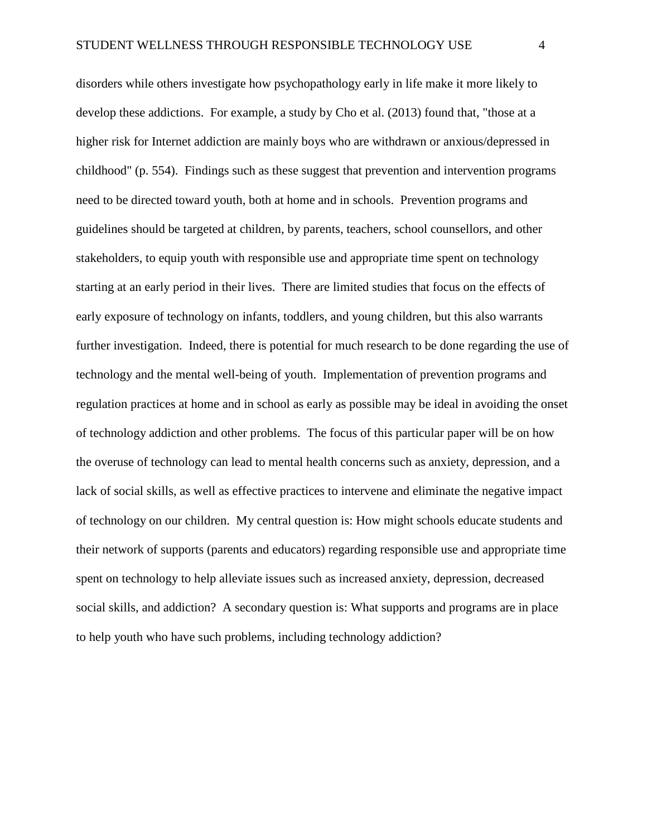disorders while others investigate how psychopathology early in life make it more likely to develop these addictions. For example, a study by Cho et al. (2013) found that, "those at a higher risk for Internet addiction are mainly boys who are withdrawn or anxious/depressed in childhood" (p. 554). Findings such as these suggest that prevention and intervention programs need to be directed toward youth, both at home and in schools. Prevention programs and guidelines should be targeted at children, by parents, teachers, school counsellors, and other stakeholders, to equip youth with responsible use and appropriate time spent on technology starting at an early period in their lives. There are limited studies that focus on the effects of early exposure of technology on infants, toddlers, and young children, but this also warrants further investigation. Indeed, there is potential for much research to be done regarding the use of technology and the mental well-being of youth. Implementation of prevention programs and regulation practices at home and in school as early as possible may be ideal in avoiding the onset of technology addiction and other problems. The focus of this particular paper will be on how the overuse of technology can lead to mental health concerns such as anxiety, depression, and a lack of social skills, as well as effective practices to intervene and eliminate the negative impact of technology on our children. My central question is: How might schools educate students and their network of supports (parents and educators) regarding responsible use and appropriate time spent on technology to help alleviate issues such as increased anxiety, depression, decreased social skills, and addiction? A secondary question is: What supports and programs are in place to help youth who have such problems, including technology addiction?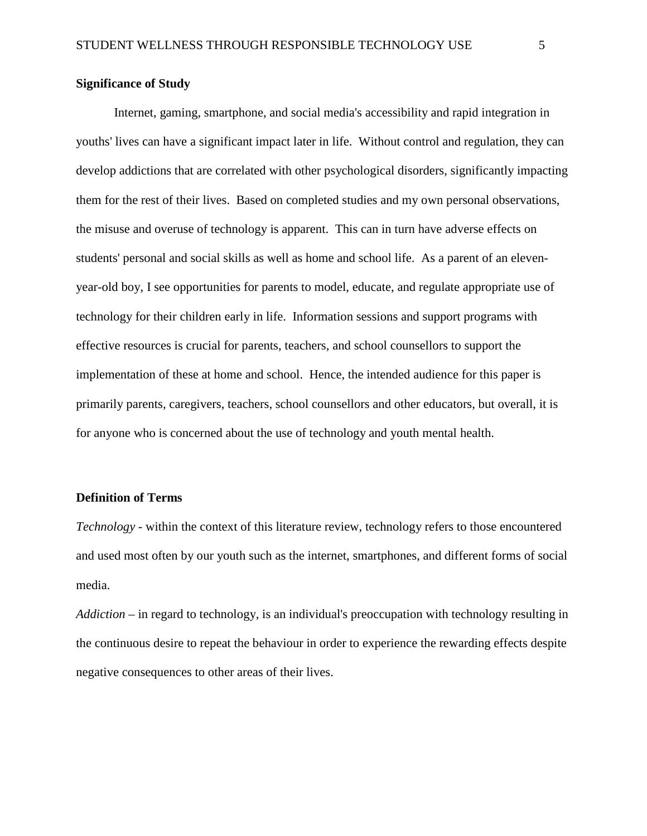## <span id="page-10-0"></span>**Significance of Study**

Internet, gaming, smartphone, and social media's accessibility and rapid integration in youths' lives can have a significant impact later in life. Without control and regulation, they can develop addictions that are correlated with other psychological disorders, significantly impacting them for the rest of their lives. Based on completed studies and my own personal observations, the misuse and overuse of technology is apparent. This can in turn have adverse effects on students' personal and social skills as well as home and school life. As a parent of an elevenyear-old boy, I see opportunities for parents to model, educate, and regulate appropriate use of technology for their children early in life. Information sessions and support programs with effective resources is crucial for parents, teachers, and school counsellors to support the implementation of these at home and school. Hence, the intended audience for this paper is primarily parents, caregivers, teachers, school counsellors and other educators, but overall, it is for anyone who is concerned about the use of technology and youth mental health.

#### <span id="page-10-1"></span>**Definition of Terms**

*Technology* - within the context of this literature review, technology refers to those encountered and used most often by our youth such as the internet, smartphones, and different forms of social media.

*Addiction* – in regard to technology, is an individual's preoccupation with technology resulting in the continuous desire to repeat the behaviour in order to experience the rewarding effects despite negative consequences to other areas of their lives.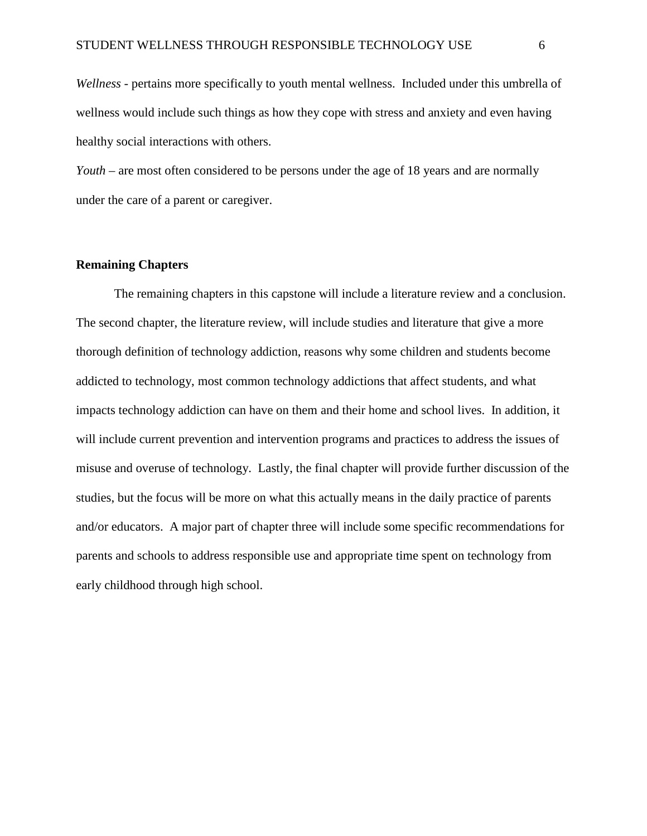*Wellness* - pertains more specifically to youth mental wellness. Included under this umbrella of wellness would include such things as how they cope with stress and anxiety and even having healthy social interactions with others.

*Youth* – are most often considered to be persons under the age of 18 years and are normally under the care of a parent or caregiver.

#### <span id="page-11-0"></span>**Remaining Chapters**

The remaining chapters in this capstone will include a literature review and a conclusion. The second chapter, the literature review, will include studies and literature that give a more thorough definition of technology addiction, reasons why some children and students become addicted to technology, most common technology addictions that affect students, and what impacts technology addiction can have on them and their home and school lives. In addition, it will include current prevention and intervention programs and practices to address the issues of misuse and overuse of technology. Lastly, the final chapter will provide further discussion of the studies, but the focus will be more on what this actually means in the daily practice of parents and/or educators. A major part of chapter three will include some specific recommendations for parents and schools to address responsible use and appropriate time spent on technology from early childhood through high school.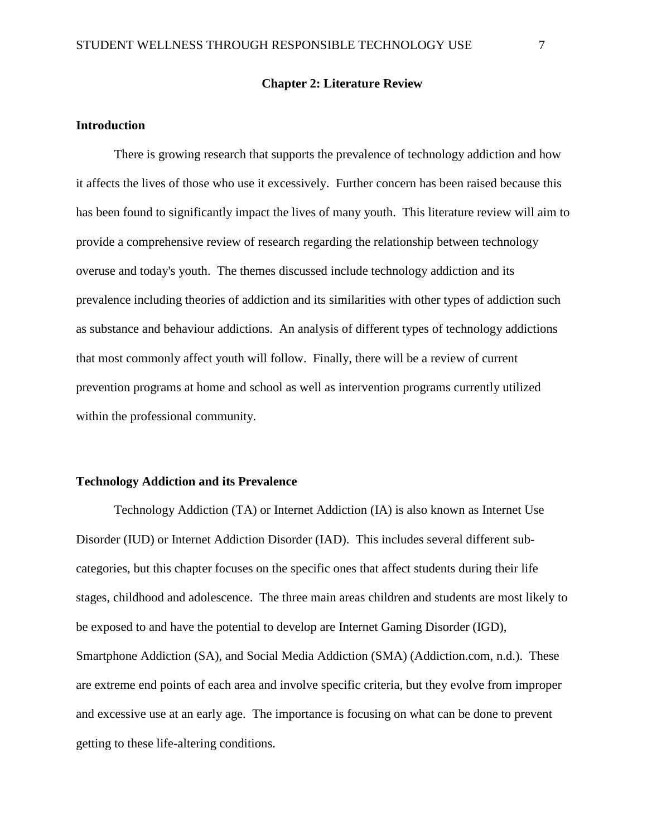#### **Chapter 2: Literature Review**

#### <span id="page-12-1"></span><span id="page-12-0"></span>**Introduction**

There is growing research that supports the prevalence of technology addiction and how it affects the lives of those who use it excessively. Further concern has been raised because this has been found to significantly impact the lives of many youth. This literature review will aim to provide a comprehensive review of research regarding the relationship between technology overuse and today's youth. The themes discussed include technology addiction and its prevalence including theories of addiction and its similarities with other types of addiction such as substance and behaviour addictions. An analysis of different types of technology addictions that most commonly affect youth will follow. Finally, there will be a review of current prevention programs at home and school as well as intervention programs currently utilized within the professional community.

#### <span id="page-12-2"></span>**Technology Addiction and its Prevalence**

Technology Addiction (TA) or Internet Addiction (IA) is also known as Internet Use Disorder (IUD) or Internet Addiction Disorder (IAD). This includes several different subcategories, but this chapter focuses on the specific ones that affect students during their life stages, childhood and adolescence. The three main areas children and students are most likely to be exposed to and have the potential to develop are Internet Gaming Disorder (IGD), Smartphone Addiction (SA), and Social Media Addiction (SMA) (Addiction.com, n.d.). These are extreme end points of each area and involve specific criteria, but they evolve from improper and excessive use at an early age. The importance is focusing on what can be done to prevent getting to these life-altering conditions.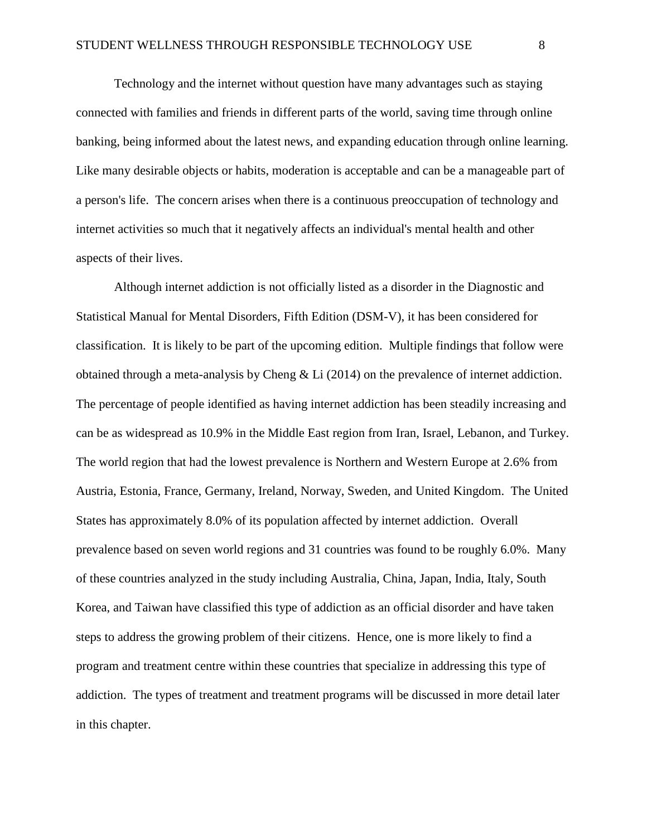Technology and the internet without question have many advantages such as staying connected with families and friends in different parts of the world, saving time through online banking, being informed about the latest news, and expanding education through online learning. Like many desirable objects or habits, moderation is acceptable and can be a manageable part of a person's life. The concern arises when there is a continuous preoccupation of technology and internet activities so much that it negatively affects an individual's mental health and other aspects of their lives.

Although internet addiction is not officially listed as a disorder in the Diagnostic and Statistical Manual for Mental Disorders, Fifth Edition (DSM-V), it has been considered for classification. It is likely to be part of the upcoming edition. Multiple findings that follow were obtained through a meta-analysis by Cheng & Li (2014) on the prevalence of internet addiction. The percentage of people identified as having internet addiction has been steadily increasing and can be as widespread as 10.9% in the Middle East region from Iran, Israel, Lebanon, and Turkey. The world region that had the lowest prevalence is Northern and Western Europe at 2.6% from Austria, Estonia, France, Germany, Ireland, Norway, Sweden, and United Kingdom. The United States has approximately 8.0% of its population affected by internet addiction. Overall prevalence based on seven world regions and 31 countries was found to be roughly 6.0%. Many of these countries analyzed in the study including Australia, China, Japan, India, Italy, South Korea, and Taiwan have classified this type of addiction as an official disorder and have taken steps to address the growing problem of their citizens. Hence, one is more likely to find a program and treatment centre within these countries that specialize in addressing this type of addiction. The types of treatment and treatment programs will be discussed in more detail later in this chapter.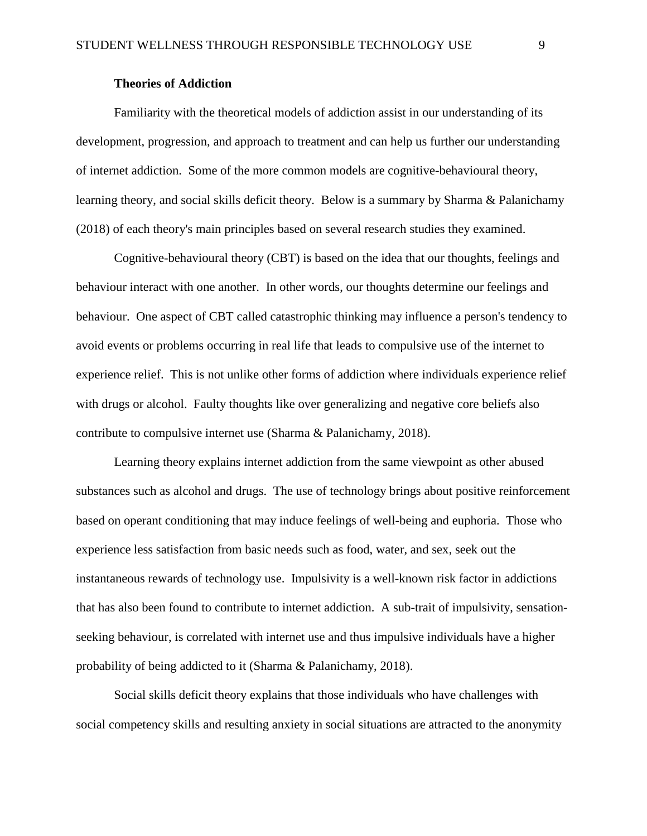## **Theories of Addiction**

<span id="page-14-0"></span>Familiarity with the theoretical models of addiction assist in our understanding of its development, progression, and approach to treatment and can help us further our understanding of internet addiction. Some of the more common models are cognitive-behavioural theory, learning theory, and social skills deficit theory. Below is a summary by Sharma & Palanichamy (2018) of each theory's main principles based on several research studies they examined.

Cognitive-behavioural theory (CBT) is based on the idea that our thoughts, feelings and behaviour interact with one another. In other words, our thoughts determine our feelings and behaviour. One aspect of CBT called catastrophic thinking may influence a person's tendency to avoid events or problems occurring in real life that leads to compulsive use of the internet to experience relief. This is not unlike other forms of addiction where individuals experience relief with drugs or alcohol. Faulty thoughts like over generalizing and negative core beliefs also contribute to compulsive internet use (Sharma & Palanichamy, 2018).

Learning theory explains internet addiction from the same viewpoint as other abused substances such as alcohol and drugs. The use of technology brings about positive reinforcement based on operant conditioning that may induce feelings of well-being and euphoria. Those who experience less satisfaction from basic needs such as food, water, and sex, seek out the instantaneous rewards of technology use. Impulsivity is a well-known risk factor in addictions that has also been found to contribute to internet addiction. A sub-trait of impulsivity, sensationseeking behaviour, is correlated with internet use and thus impulsive individuals have a higher probability of being addicted to it (Sharma & Palanichamy, 2018).

Social skills deficit theory explains that those individuals who have challenges with social competency skills and resulting anxiety in social situations are attracted to the anonymity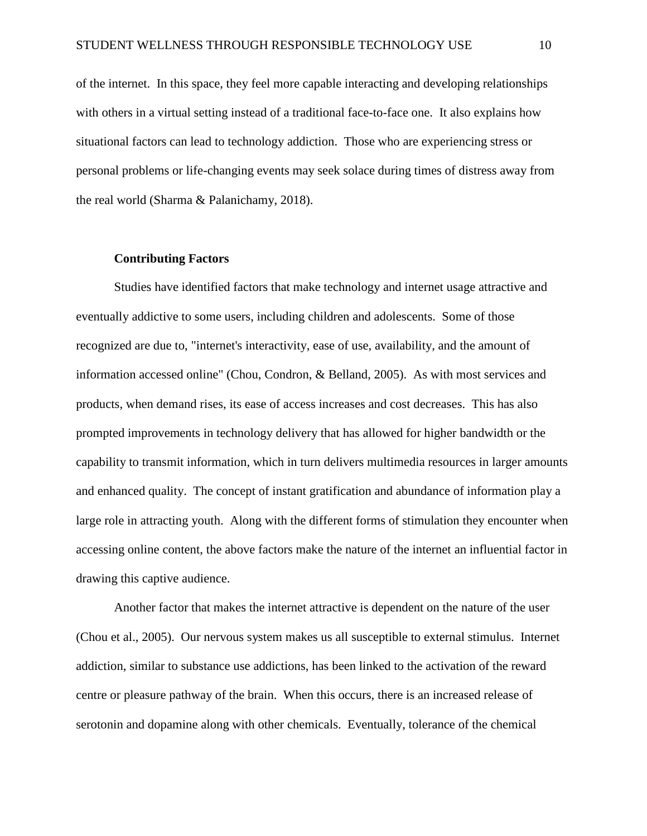of the internet. In this space, they feel more capable interacting and developing relationships with others in a virtual setting instead of a traditional face-to-face one. It also explains how situational factors can lead to technology addiction. Those who are experiencing stress or personal problems or life-changing events may seek solace during times of distress away from the real world (Sharma & Palanichamy, 2018).

#### **Contributing Factors**

<span id="page-15-0"></span>Studies have identified factors that make technology and internet usage attractive and eventually addictive to some users, including children and adolescents. Some of those recognized are due to, "internet's interactivity, ease of use, availability, and the amount of information accessed online" (Chou, Condron, & Belland, 2005). As with most services and products, when demand rises, its ease of access increases and cost decreases. This has also prompted improvements in technology delivery that has allowed for higher bandwidth or the capability to transmit information, which in turn delivers multimedia resources in larger amounts and enhanced quality. The concept of instant gratification and abundance of information play a large role in attracting youth. Along with the different forms of stimulation they encounter when accessing online content, the above factors make the nature of the internet an influential factor in drawing this captive audience.

Another factor that makes the internet attractive is dependent on the nature of the user (Chou et al., 2005). Our nervous system makes us all susceptible to external stimulus. Internet addiction, similar to substance use addictions, has been linked to the activation of the reward centre or pleasure pathway of the brain. When this occurs, there is an increased release of serotonin and dopamine along with other chemicals. Eventually, tolerance of the chemical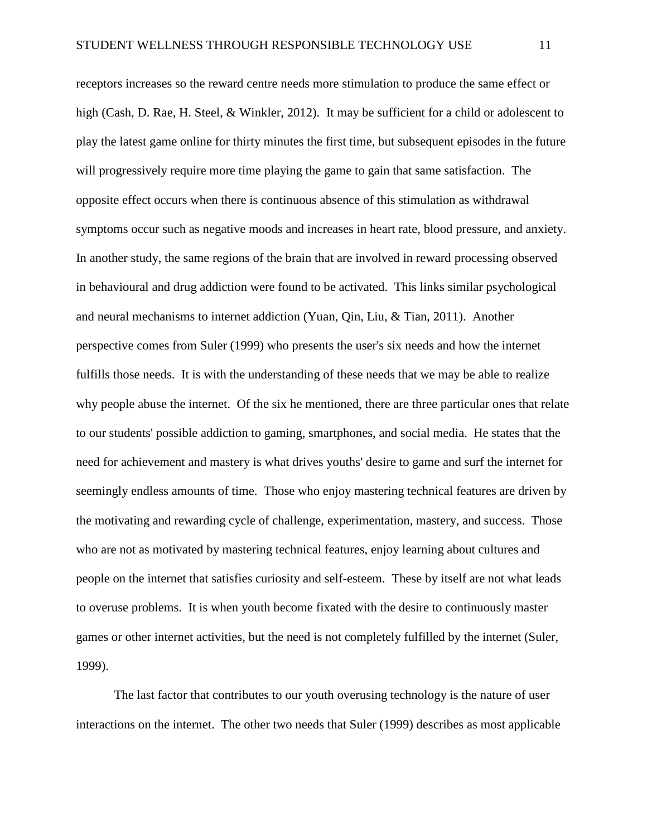receptors increases so the reward centre needs more stimulation to produce the same effect or high (Cash, D. Rae, H. Steel, & Winkler, 2012). It may be sufficient for a child or adolescent to play the latest game online for thirty minutes the first time, but subsequent episodes in the future will progressively require more time playing the game to gain that same satisfaction. The opposite effect occurs when there is continuous absence of this stimulation as withdrawal symptoms occur such as negative moods and increases in heart rate, blood pressure, and anxiety. In another study, the same regions of the brain that are involved in reward processing observed in behavioural and drug addiction were found to be activated. This links similar psychological and neural mechanisms to internet addiction (Yuan, Qin, Liu, & Tian, 2011). Another perspective comes from Suler (1999) who presents the user's six needs and how the internet fulfills those needs. It is with the understanding of these needs that we may be able to realize why people abuse the internet. Of the six he mentioned, there are three particular ones that relate to our students' possible addiction to gaming, smartphones, and social media. He states that the need for achievement and mastery is what drives youths' desire to game and surf the internet for seemingly endless amounts of time. Those who enjoy mastering technical features are driven by the motivating and rewarding cycle of challenge, experimentation, mastery, and success. Those who are not as motivated by mastering technical features, enjoy learning about cultures and people on the internet that satisfies curiosity and self-esteem. These by itself are not what leads to overuse problems. It is when youth become fixated with the desire to continuously master games or other internet activities, but the need is not completely fulfilled by the internet (Suler, 1999).

The last factor that contributes to our youth overusing technology is the nature of user interactions on the internet. The other two needs that Suler (1999) describes as most applicable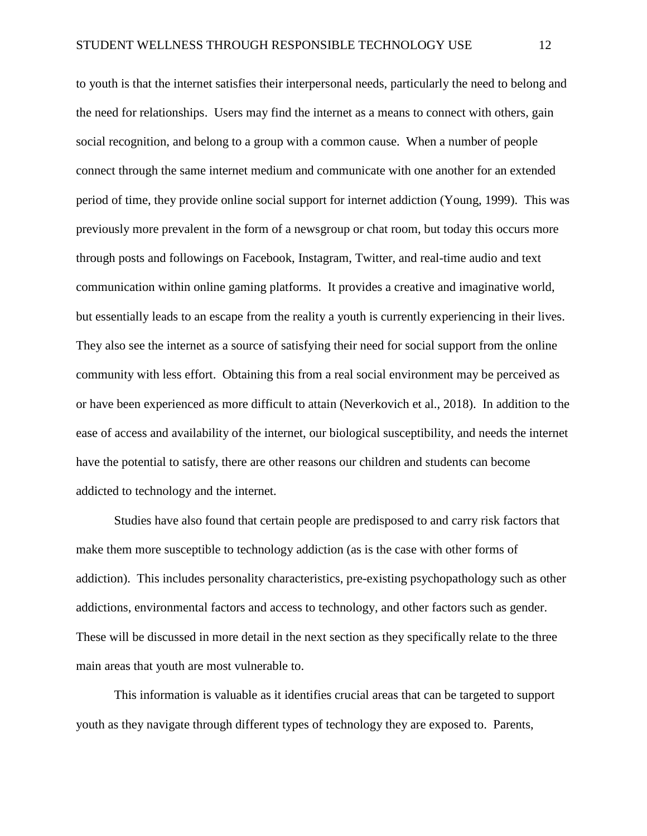to youth is that the internet satisfies their interpersonal needs, particularly the need to belong and the need for relationships. Users may find the internet as a means to connect with others, gain social recognition, and belong to a group with a common cause. When a number of people connect through the same internet medium and communicate with one another for an extended period of time, they provide online social support for internet addiction (Young, 1999). This was previously more prevalent in the form of a newsgroup or chat room, but today this occurs more through posts and followings on Facebook, Instagram, Twitter, and real-time audio and text communication within online gaming platforms. It provides a creative and imaginative world, but essentially leads to an escape from the reality a youth is currently experiencing in their lives. They also see the internet as a source of satisfying their need for social support from the online community with less effort. Obtaining this from a real social environment may be perceived as or have been experienced as more difficult to attain (Neverkovich et al., 2018). In addition to the ease of access and availability of the internet, our biological susceptibility, and needs the internet have the potential to satisfy, there are other reasons our children and students can become addicted to technology and the internet.

Studies have also found that certain people are predisposed to and carry risk factors that make them more susceptible to technology addiction (as is the case with other forms of addiction). This includes personality characteristics, pre-existing psychopathology such as other addictions, environmental factors and access to technology, and other factors such as gender. These will be discussed in more detail in the next section as they specifically relate to the three main areas that youth are most vulnerable to.

This information is valuable as it identifies crucial areas that can be targeted to support youth as they navigate through different types of technology they are exposed to. Parents,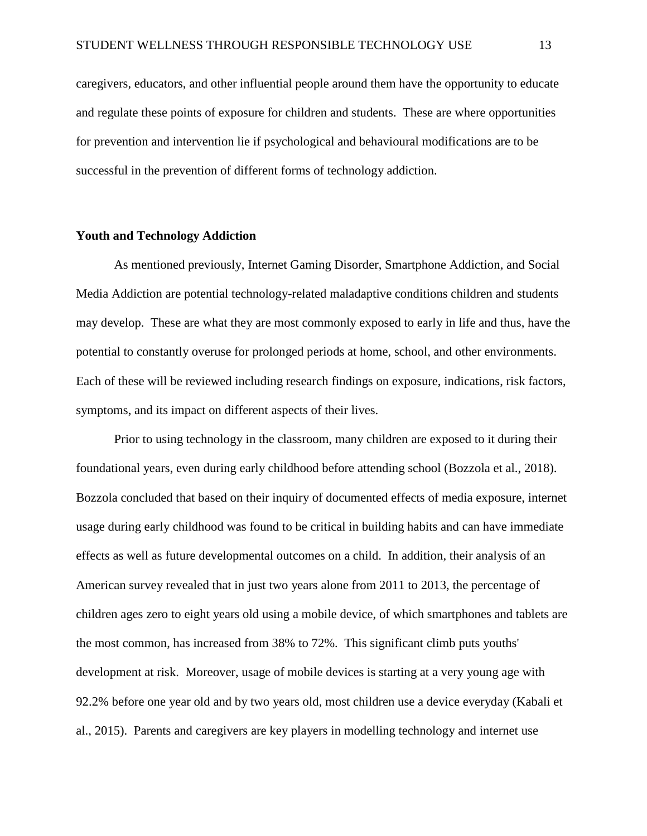caregivers, educators, and other influential people around them have the opportunity to educate and regulate these points of exposure for children and students. These are where opportunities for prevention and intervention lie if psychological and behavioural modifications are to be successful in the prevention of different forms of technology addiction.

#### <span id="page-18-0"></span>**Youth and Technology Addiction**

As mentioned previously, Internet Gaming Disorder, Smartphone Addiction, and Social Media Addiction are potential technology-related maladaptive conditions children and students may develop. These are what they are most commonly exposed to early in life and thus, have the potential to constantly overuse for prolonged periods at home, school, and other environments. Each of these will be reviewed including research findings on exposure, indications, risk factors, symptoms, and its impact on different aspects of their lives.

Prior to using technology in the classroom, many children are exposed to it during their foundational years, even during early childhood before attending school (Bozzola et al., 2018). Bozzola concluded that based on their inquiry of documented effects of media exposure, internet usage during early childhood was found to be critical in building habits and can have immediate effects as well as future developmental outcomes on a child. In addition, their analysis of an American survey revealed that in just two years alone from 2011 to 2013, the percentage of children ages zero to eight years old using a mobile device, of which smartphones and tablets are the most common, has increased from 38% to 72%. This significant climb puts youths' development at risk. Moreover, usage of mobile devices is starting at a very young age with 92.2% before one year old and by two years old, most children use a device everyday (Kabali et al., 2015). Parents and caregivers are key players in modelling technology and internet use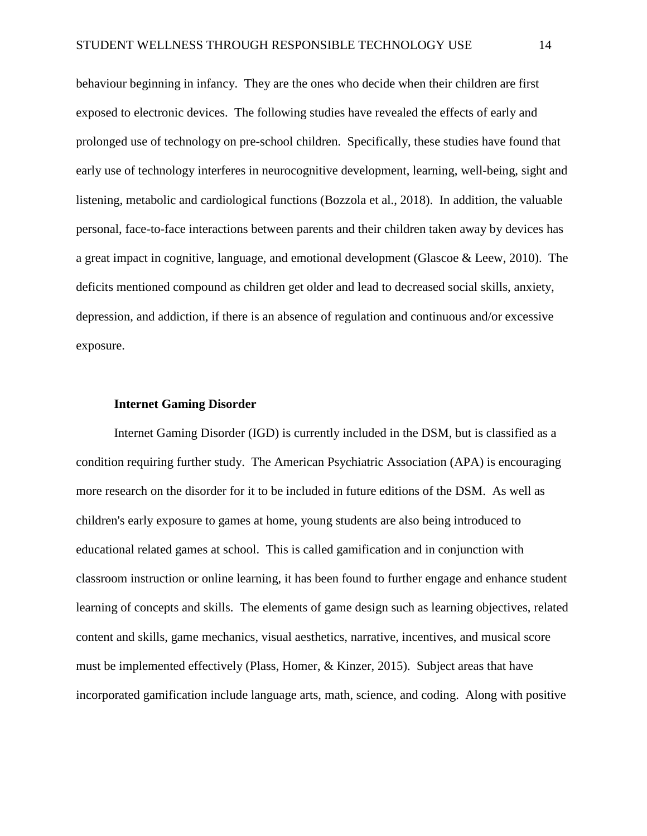behaviour beginning in infancy. They are the ones who decide when their children are first exposed to electronic devices. The following studies have revealed the effects of early and prolonged use of technology on pre-school children. Specifically, these studies have found that early use of technology interferes in neurocognitive development, learning, well-being, sight and listening, metabolic and cardiological functions (Bozzola et al., 2018). In addition, the valuable personal, face-to-face interactions between parents and their children taken away by devices has a great impact in cognitive, language, and emotional development (Glascoe & Leew, 2010). The deficits mentioned compound as children get older and lead to decreased social skills, anxiety, depression, and addiction, if there is an absence of regulation and continuous and/or excessive exposure.

#### **Internet Gaming Disorder**

<span id="page-19-0"></span>Internet Gaming Disorder (IGD) is currently included in the DSM, but is classified as a condition requiring further study. The American Psychiatric Association (APA) is encouraging more research on the disorder for it to be included in future editions of the DSM. As well as children's early exposure to games at home, young students are also being introduced to educational related games at school. This is called gamification and in conjunction with classroom instruction or online learning, it has been found to further engage and enhance student learning of concepts and skills. The elements of game design such as learning objectives, related content and skills, game mechanics, visual aesthetics, narrative, incentives, and musical score must be implemented effectively (Plass, Homer, & Kinzer, 2015). Subject areas that have incorporated gamification include language arts, math, science, and coding. Along with positive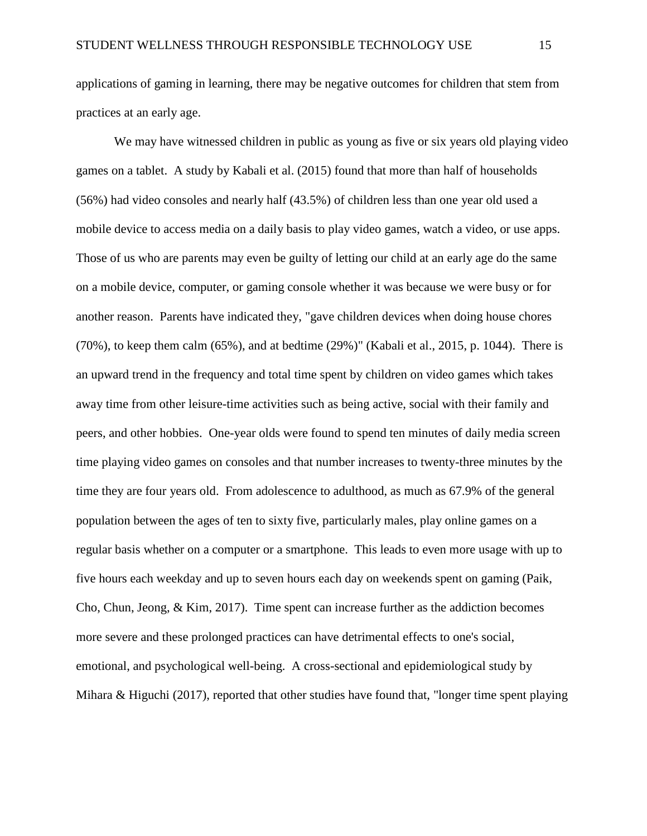applications of gaming in learning, there may be negative outcomes for children that stem from practices at an early age.

We may have witnessed children in public as young as five or six years old playing video games on a tablet. A study by Kabali et al. (2015) found that more than half of households (56%) had video consoles and nearly half (43.5%) of children less than one year old used a mobile device to access media on a daily basis to play video games, watch a video, or use apps. Those of us who are parents may even be guilty of letting our child at an early age do the same on a mobile device, computer, or gaming console whether it was because we were busy or for another reason. Parents have indicated they, "gave children devices when doing house chores  $(70\%)$ , to keep them calm  $(65\%)$ , and at bedtime  $(29\%)$ " (Kabali et al., 2015, p. 1044). There is an upward trend in the frequency and total time spent by children on video games which takes away time from other leisure-time activities such as being active, social with their family and peers, and other hobbies. One-year olds were found to spend ten minutes of daily media screen time playing video games on consoles and that number increases to twenty-three minutes by the time they are four years old. From adolescence to adulthood, as much as 67.9% of the general population between the ages of ten to sixty five, particularly males, play online games on a regular basis whether on a computer or a smartphone. This leads to even more usage with up to five hours each weekday and up to seven hours each day on weekends spent on gaming (Paik, Cho, Chun, Jeong, & Kim, 2017). Time spent can increase further as the addiction becomes more severe and these prolonged practices can have detrimental effects to one's social, emotional, and psychological well-being. A cross-sectional and epidemiological study by Mihara & Higuchi (2017), reported that other studies have found that, "longer time spent playing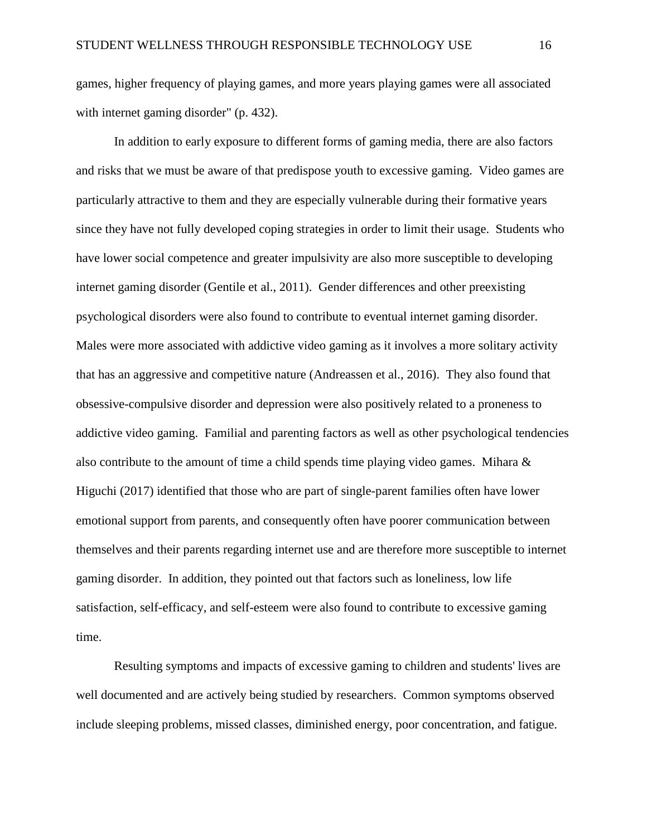games, higher frequency of playing games, and more years playing games were all associated with internet gaming disorder" (p. 432).

In addition to early exposure to different forms of gaming media, there are also factors and risks that we must be aware of that predispose youth to excessive gaming. Video games are particularly attractive to them and they are especially vulnerable during their formative years since they have not fully developed coping strategies in order to limit their usage. Students who have lower social competence and greater impulsivity are also more susceptible to developing internet gaming disorder (Gentile et al., 2011). Gender differences and other preexisting psychological disorders were also found to contribute to eventual internet gaming disorder. Males were more associated with addictive video gaming as it involves a more solitary activity that has an aggressive and competitive nature (Andreassen et al., 2016). They also found that obsessive-compulsive disorder and depression were also positively related to a proneness to addictive video gaming. Familial and parenting factors as well as other psychological tendencies also contribute to the amount of time a child spends time playing video games. Mihara  $\&$ Higuchi (2017) identified that those who are part of single-parent families often have lower emotional support from parents, and consequently often have poorer communication between themselves and their parents regarding internet use and are therefore more susceptible to internet gaming disorder. In addition, they pointed out that factors such as loneliness, low life satisfaction, self-efficacy, and self-esteem were also found to contribute to excessive gaming time.

Resulting symptoms and impacts of excessive gaming to children and students' lives are well documented and are actively being studied by researchers. Common symptoms observed include sleeping problems, missed classes, diminished energy, poor concentration, and fatigue.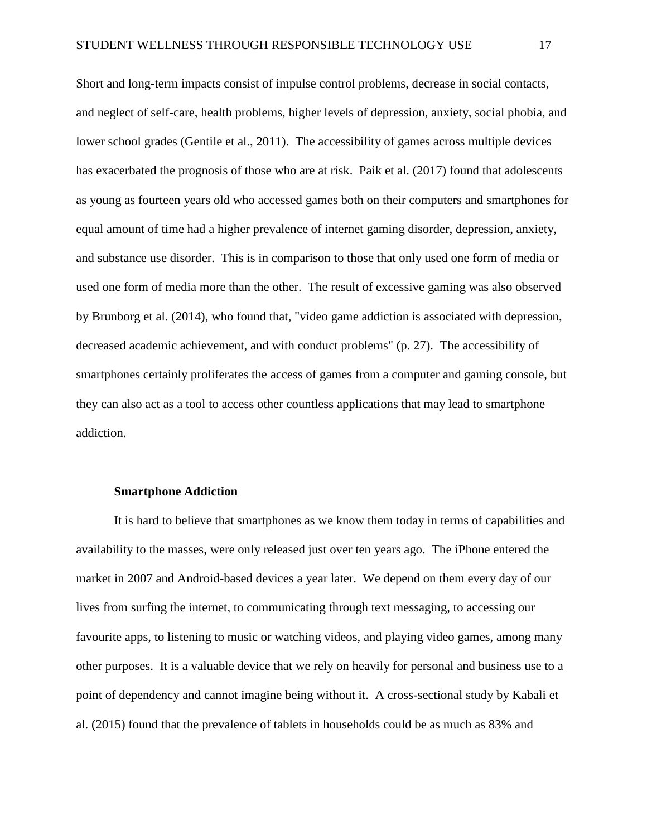Short and long-term impacts consist of impulse control problems, decrease in social contacts, and neglect of self-care, health problems, higher levels of depression, anxiety, social phobia, and lower school grades (Gentile et al., 2011). The accessibility of games across multiple devices has exacerbated the prognosis of those who are at risk. Paik et al. (2017) found that adolescents as young as fourteen years old who accessed games both on their computers and smartphones for equal amount of time had a higher prevalence of internet gaming disorder, depression, anxiety, and substance use disorder. This is in comparison to those that only used one form of media or used one form of media more than the other. The result of excessive gaming was also observed by Brunborg et al. (2014), who found that, "video game addiction is associated with depression, decreased academic achievement, and with conduct problems" (p. 27). The accessibility of smartphones certainly proliferates the access of games from a computer and gaming console, but they can also act as a tool to access other countless applications that may lead to smartphone addiction.

#### **Smartphone Addiction**

<span id="page-22-0"></span>It is hard to believe that smartphones as we know them today in terms of capabilities and availability to the masses, were only released just over ten years ago. The iPhone entered the market in 2007 and Android-based devices a year later. We depend on them every day of our lives from surfing the internet, to communicating through text messaging, to accessing our favourite apps, to listening to music or watching videos, and playing video games, among many other purposes. It is a valuable device that we rely on heavily for personal and business use to a point of dependency and cannot imagine being without it. A cross-sectional study by Kabali et al. (2015) found that the prevalence of tablets in households could be as much as 83% and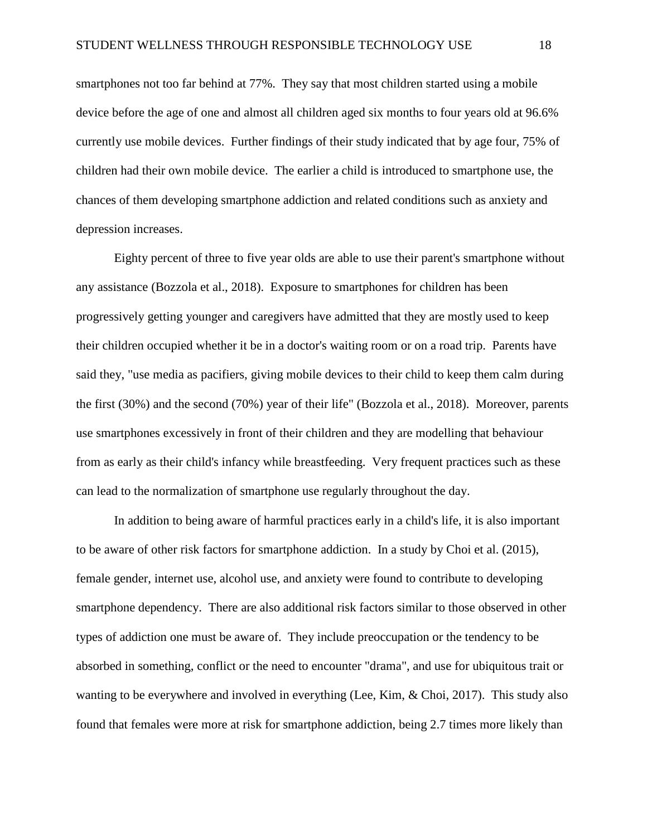smartphones not too far behind at 77%. They say that most children started using a mobile device before the age of one and almost all children aged six months to four years old at 96.6% currently use mobile devices. Further findings of their study indicated that by age four, 75% of children had their own mobile device. The earlier a child is introduced to smartphone use, the chances of them developing smartphone addiction and related conditions such as anxiety and depression increases.

Eighty percent of three to five year olds are able to use their parent's smartphone without any assistance (Bozzola et al., 2018). Exposure to smartphones for children has been progressively getting younger and caregivers have admitted that they are mostly used to keep their children occupied whether it be in a doctor's waiting room or on a road trip. Parents have said they, "use media as pacifiers, giving mobile devices to their child to keep them calm during the first (30%) and the second (70%) year of their life" (Bozzola et al., 2018). Moreover, parents use smartphones excessively in front of their children and they are modelling that behaviour from as early as their child's infancy while breastfeeding. Very frequent practices such as these can lead to the normalization of smartphone use regularly throughout the day.

In addition to being aware of harmful practices early in a child's life, it is also important to be aware of other risk factors for smartphone addiction. In a study by Choi et al. (2015), female gender, internet use, alcohol use, and anxiety were found to contribute to developing smartphone dependency. There are also additional risk factors similar to those observed in other types of addiction one must be aware of. They include preoccupation or the tendency to be absorbed in something, conflict or the need to encounter "drama", and use for ubiquitous trait or wanting to be everywhere and involved in everything (Lee, Kim, & Choi, 2017). This study also found that females were more at risk for smartphone addiction, being 2.7 times more likely than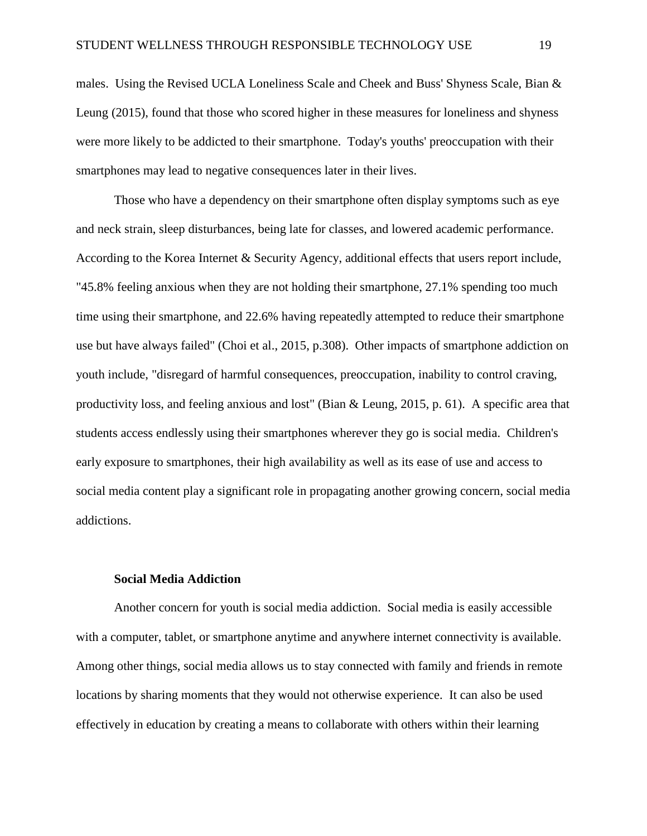males. Using the Revised UCLA Loneliness Scale and Cheek and Buss' Shyness Scale, Bian & Leung (2015), found that those who scored higher in these measures for loneliness and shyness were more likely to be addicted to their smartphone. Today's youths' preoccupation with their smartphones may lead to negative consequences later in their lives.

Those who have a dependency on their smartphone often display symptoms such as eye and neck strain, sleep disturbances, being late for classes, and lowered academic performance. According to the Korea Internet & Security Agency, additional effects that users report include, "45.8% feeling anxious when they are not holding their smartphone, 27.1% spending too much time using their smartphone, and 22.6% having repeatedly attempted to reduce their smartphone use but have always failed" (Choi et al., 2015, p.308). Other impacts of smartphone addiction on youth include, "disregard of harmful consequences, preoccupation, inability to control craving, productivity loss, and feeling anxious and lost" (Bian & Leung, 2015, p. 61). A specific area that students access endlessly using their smartphones wherever they go is social media. Children's early exposure to smartphones, their high availability as well as its ease of use and access to social media content play a significant role in propagating another growing concern, social media addictions.

#### **Social Media Addiction**

<span id="page-24-0"></span>Another concern for youth is social media addiction. Social media is easily accessible with a computer, tablet, or smartphone anytime and anywhere internet connectivity is available. Among other things, social media allows us to stay connected with family and friends in remote locations by sharing moments that they would not otherwise experience. It can also be used effectively in education by creating a means to collaborate with others within their learning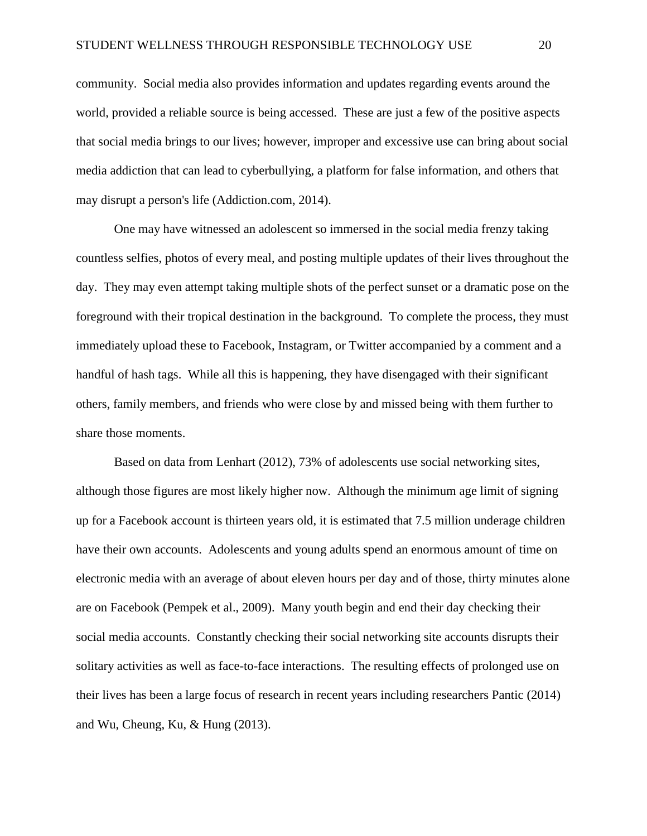community. Social media also provides information and updates regarding events around the world, provided a reliable source is being accessed. These are just a few of the positive aspects that social media brings to our lives; however, improper and excessive use can bring about social media addiction that can lead to cyberbullying, a platform for false information, and others that may disrupt a person's life (Addiction.com, 2014).

One may have witnessed an adolescent so immersed in the social media frenzy taking countless selfies, photos of every meal, and posting multiple updates of their lives throughout the day. They may even attempt taking multiple shots of the perfect sunset or a dramatic pose on the foreground with their tropical destination in the background. To complete the process, they must immediately upload these to Facebook, Instagram, or Twitter accompanied by a comment and a handful of hash tags. While all this is happening, they have disengaged with their significant others, family members, and friends who were close by and missed being with them further to share those moments.

Based on data from Lenhart (2012), 73% of adolescents use social networking sites, although those figures are most likely higher now. Although the minimum age limit of signing up for a Facebook account is thirteen years old, it is estimated that 7.5 million underage children have their own accounts. Adolescents and young adults spend an enormous amount of time on electronic media with an average of about eleven hours per day and of those, thirty minutes alone are on Facebook (Pempek et al., 2009). Many youth begin and end their day checking their social media accounts. Constantly checking their social networking site accounts disrupts their solitary activities as well as face-to-face interactions. The resulting effects of prolonged use on their lives has been a large focus of research in recent years including researchers Pantic (2014) and Wu, Cheung, Ku, & Hung (2013).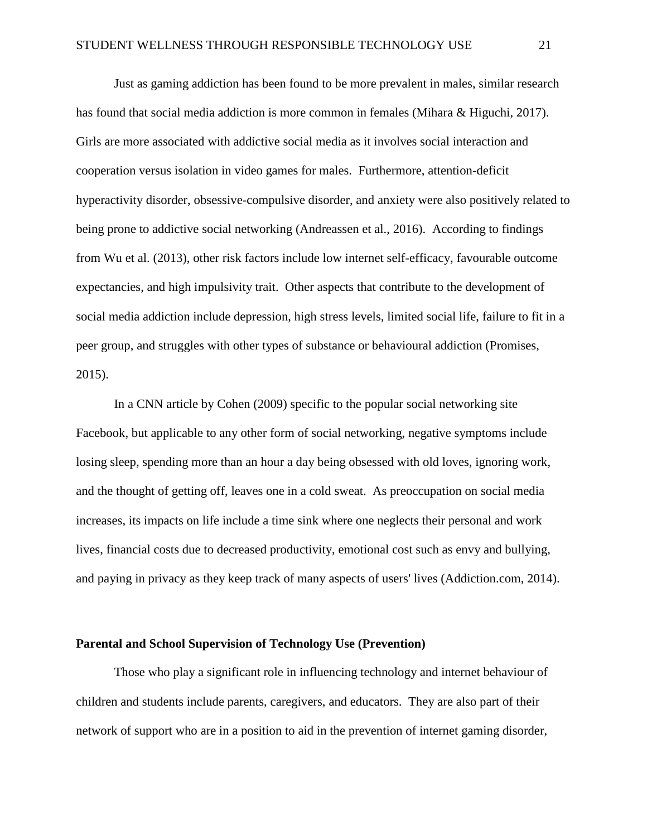Just as gaming addiction has been found to be more prevalent in males, similar research has found that social media addiction is more common in females (Mihara & Higuchi, 2017). Girls are more associated with addictive social media as it involves social interaction and cooperation versus isolation in video games for males. Furthermore, attention-deficit hyperactivity disorder, obsessive-compulsive disorder, and anxiety were also positively related to being prone to addictive social networking (Andreassen et al., 2016). According to findings from Wu et al. (2013), other risk factors include low internet self-efficacy, favourable outcome expectancies, and high impulsivity trait. Other aspects that contribute to the development of social media addiction include depression, high stress levels, limited social life, failure to fit in a peer group, and struggles with other types of substance or behavioural addiction (Promises, 2015).

In a CNN article by Cohen (2009) specific to the popular social networking site Facebook, but applicable to any other form of social networking, negative symptoms include losing sleep, spending more than an hour a day being obsessed with old loves, ignoring work, and the thought of getting off, leaves one in a cold sweat. As preoccupation on social media increases, its impacts on life include a time sink where one neglects their personal and work lives, financial costs due to decreased productivity, emotional cost such as envy and bullying, and paying in privacy as they keep track of many aspects of users' lives (Addiction.com, 2014).

#### <span id="page-26-0"></span>**Parental and School Supervision of Technology Use (Prevention)**

Those who play a significant role in influencing technology and internet behaviour of children and students include parents, caregivers, and educators. They are also part of their network of support who are in a position to aid in the prevention of internet gaming disorder,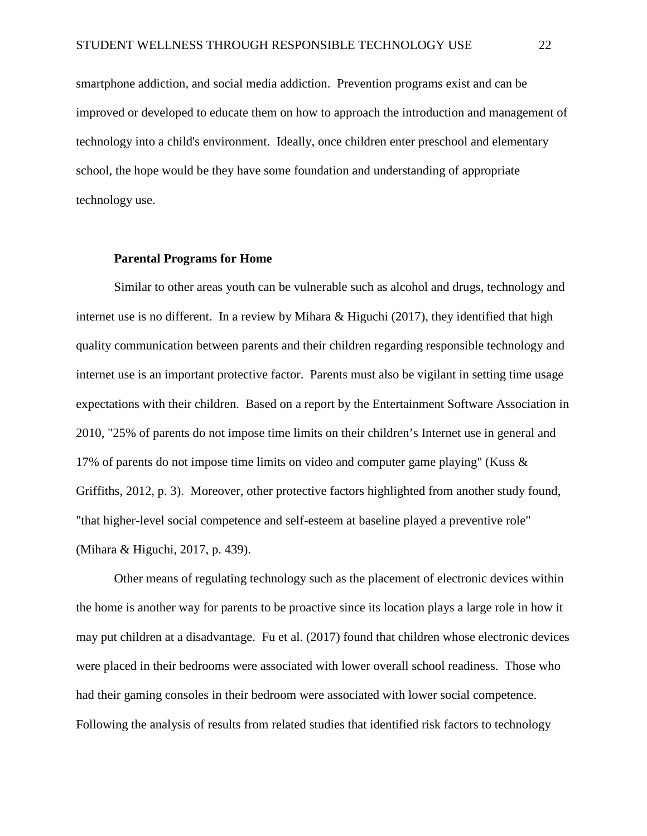smartphone addiction, and social media addiction. Prevention programs exist and can be improved or developed to educate them on how to approach the introduction and management of technology into a child's environment. Ideally, once children enter preschool and elementary school, the hope would be they have some foundation and understanding of appropriate technology use.

#### **Parental Programs for Home**

<span id="page-27-0"></span>Similar to other areas youth can be vulnerable such as alcohol and drugs, technology and internet use is no different. In a review by Mihara & Higuchi (2017), they identified that high quality communication between parents and their children regarding responsible technology and internet use is an important protective factor. Parents must also be vigilant in setting time usage expectations with their children. Based on a report by the Entertainment Software Association in 2010, "25% of parents do not impose time limits on their children's Internet use in general and 17% of parents do not impose time limits on video and computer game playing" (Kuss & Griffiths, 2012, p. 3). Moreover, other protective factors highlighted from another study found, "that higher-level social competence and self-esteem at baseline played a preventive role" (Mihara & Higuchi, 2017, p. 439).

Other means of regulating technology such as the placement of electronic devices within the home is another way for parents to be proactive since its location plays a large role in how it may put children at a disadvantage. Fu et al. (2017) found that children whose electronic devices were placed in their bedrooms were associated with lower overall school readiness. Those who had their gaming consoles in their bedroom were associated with lower social competence. Following the analysis of results from related studies that identified risk factors to technology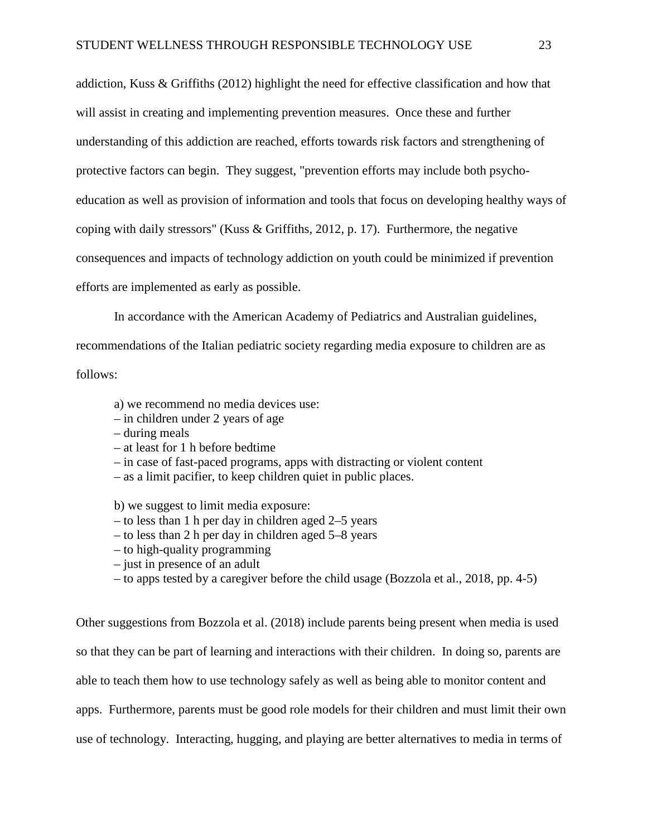addiction, Kuss & Griffiths (2012) highlight the need for effective classification and how that will assist in creating and implementing prevention measures. Once these and further understanding of this addiction are reached, efforts towards risk factors and strengthening of protective factors can begin. They suggest, "prevention efforts may include both psychoeducation as well as provision of information and tools that focus on developing healthy ways of coping with daily stressors" (Kuss  $\&$  Griffiths, 2012, p. 17). Furthermore, the negative consequences and impacts of technology addiction on youth could be minimized if prevention efforts are implemented as early as possible.

In accordance with the American Academy of Pediatrics and Australian guidelines,

recommendations of the Italian pediatric society regarding media exposure to children are as

follows:

- a) we recommend no media devices use:
- in children under 2 years of age
- during meals
- at least for 1 h before bedtime
- in case of fast-paced programs, apps with distracting or violent content
- as a limit pacifier, to keep children quiet in public places.

b) we suggest to limit media exposure:

- to less than 1 h per day in children aged 2–5 years
- to less than 2 h per day in children aged 5–8 years
- to high-quality programming
- just in presence of an adult
- to apps tested by a caregiver before the child usage (Bozzola et al., 2018, pp. 4-5)

Other suggestions from Bozzola et al. (2018) include parents being present when media is used so that they can be part of learning and interactions with their children. In doing so, parents are able to teach them how to use technology safely as well as being able to monitor content and apps. Furthermore, parents must be good role models for their children and must limit their own use of technology. Interacting, hugging, and playing are better alternatives to media in terms of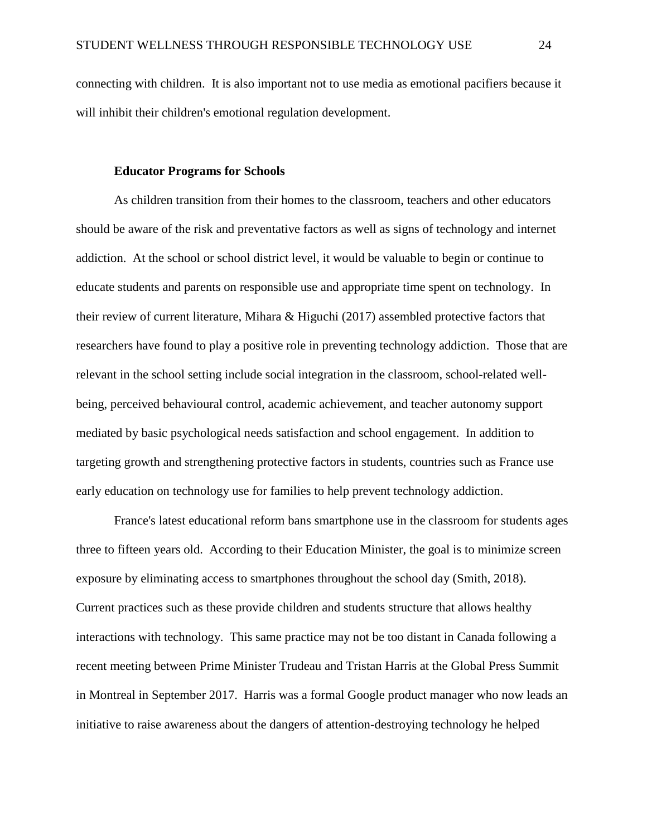connecting with children. It is also important not to use media as emotional pacifiers because it will inhibit their children's emotional regulation development.

#### **Educator Programs for Schools**

<span id="page-29-0"></span>As children transition from their homes to the classroom, teachers and other educators should be aware of the risk and preventative factors as well as signs of technology and internet addiction. At the school or school district level, it would be valuable to begin or continue to educate students and parents on responsible use and appropriate time spent on technology. In their review of current literature, Mihara & Higuchi (2017) assembled protective factors that researchers have found to play a positive role in preventing technology addiction. Those that are relevant in the school setting include social integration in the classroom, school-related wellbeing, perceived behavioural control, academic achievement, and teacher autonomy support mediated by basic psychological needs satisfaction and school engagement. In addition to targeting growth and strengthening protective factors in students, countries such as France use early education on technology use for families to help prevent technology addiction.

France's latest educational reform bans smartphone use in the classroom for students ages three to fifteen years old. According to their Education Minister, the goal is to minimize screen exposure by eliminating access to smartphones throughout the school day (Smith, 2018). Current practices such as these provide children and students structure that allows healthy interactions with technology. This same practice may not be too distant in Canada following a recent meeting between Prime Minister Trudeau and Tristan Harris at the Global Press Summit in Montreal in September 2017. Harris was a formal Google product manager who now leads an initiative to raise awareness about the dangers of attention-destroying technology he helped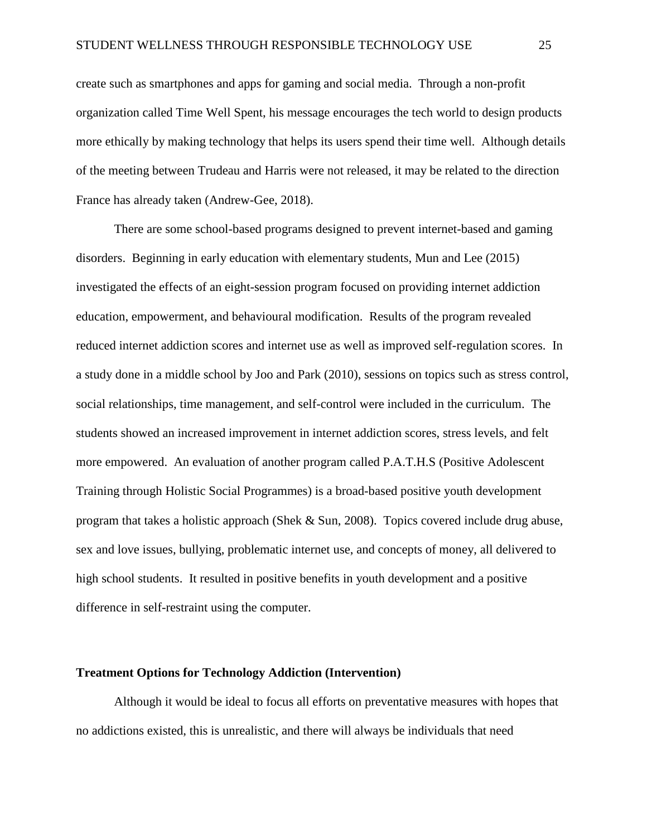create such as smartphones and apps for gaming and social media. Through a non-profit organization called Time Well Spent, his message encourages the tech world to design products more ethically by making technology that helps its users spend their time well. Although details of the meeting between Trudeau and Harris were not released, it may be related to the direction France has already taken (Andrew-Gee, 2018).

There are some school-based programs designed to prevent internet-based and gaming disorders. Beginning in early education with elementary students, Mun and Lee (2015) investigated the effects of an eight-session program focused on providing internet addiction education, empowerment, and behavioural modification. Results of the program revealed reduced internet addiction scores and internet use as well as improved self-regulation scores. In a study done in a middle school by Joo and Park (2010), sessions on topics such as stress control, social relationships, time management, and self-control were included in the curriculum. The students showed an increased improvement in internet addiction scores, stress levels, and felt more empowered. An evaluation of another program called P.A.T.H.S (Positive Adolescent Training through Holistic Social Programmes) is a broad-based positive youth development program that takes a holistic approach (Shek & Sun, 2008). Topics covered include drug abuse, sex and love issues, bullying, problematic internet use, and concepts of money, all delivered to high school students. It resulted in positive benefits in youth development and a positive difference in self-restraint using the computer.

#### <span id="page-30-0"></span>**Treatment Options for Technology Addiction (Intervention)**

Although it would be ideal to focus all efforts on preventative measures with hopes that no addictions existed, this is unrealistic, and there will always be individuals that need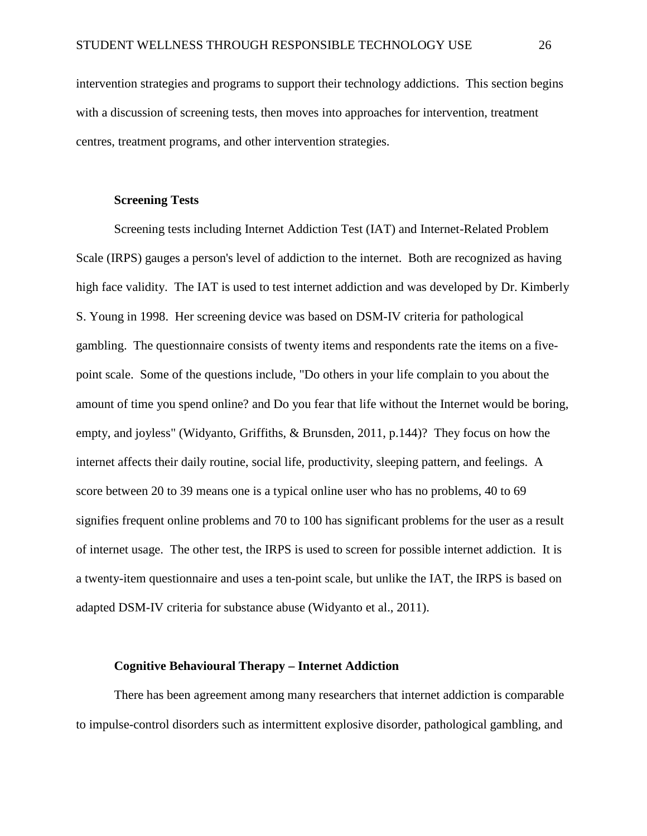intervention strategies and programs to support their technology addictions. This section begins with a discussion of screening tests, then moves into approaches for intervention, treatment centres, treatment programs, and other intervention strategies.

#### **Screening Tests**

<span id="page-31-0"></span>Screening tests including Internet Addiction Test (IAT) and Internet-Related Problem Scale (IRPS) gauges a person's level of addiction to the internet. Both are recognized as having high face validity. The IAT is used to test internet addiction and was developed by Dr. Kimberly S. Young in 1998. Her screening device was based on DSM-IV criteria for pathological gambling. The questionnaire consists of twenty items and respondents rate the items on a fivepoint scale. Some of the questions include, "Do others in your life complain to you about the amount of time you spend online? and Do you fear that life without the Internet would be boring, empty, and joyless" (Widyanto, Griffiths, & Brunsden, 2011, p.144)? They focus on how the internet affects their daily routine, social life, productivity, sleeping pattern, and feelings. A score between 20 to 39 means one is a typical online user who has no problems, 40 to 69 signifies frequent online problems and 70 to 100 has significant problems for the user as a result of internet usage. The other test, the IRPS is used to screen for possible internet addiction. It is a twenty-item questionnaire and uses a ten-point scale, but unlike the IAT, the IRPS is based on adapted DSM-IV criteria for substance abuse (Widyanto et al., 2011).

#### **Cognitive Behavioural Therapy – Internet Addiction**

<span id="page-31-1"></span>There has been agreement among many researchers that internet addiction is comparable to impulse-control disorders such as intermittent explosive disorder, pathological gambling, and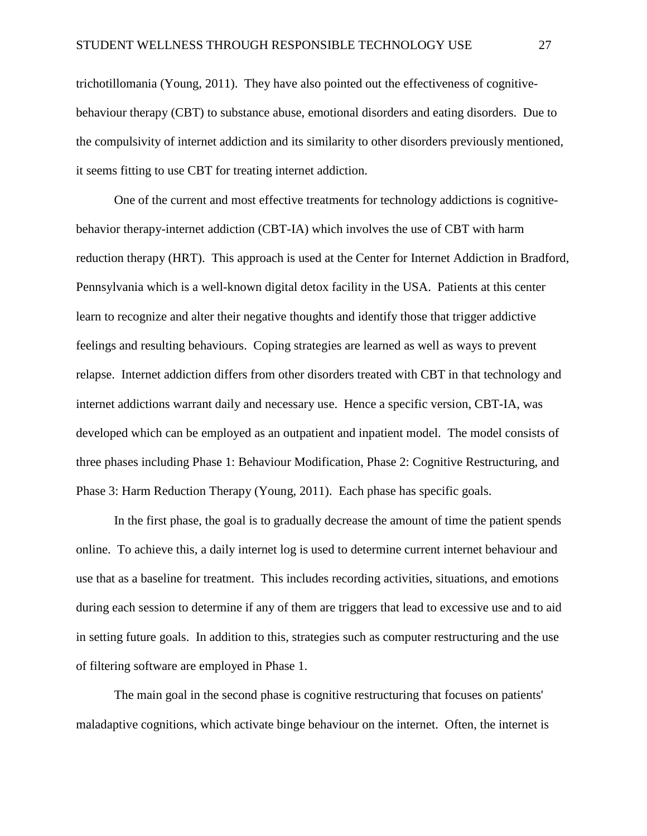trichotillomania (Young, 2011). They have also pointed out the effectiveness of cognitivebehaviour therapy (CBT) to substance abuse, emotional disorders and eating disorders. Due to the compulsivity of internet addiction and its similarity to other disorders previously mentioned, it seems fitting to use CBT for treating internet addiction.

One of the current and most effective treatments for technology addictions is cognitivebehavior therapy-internet addiction (CBT-IA) which involves the use of CBT with harm reduction therapy (HRT). This approach is used at the Center for Internet Addiction in Bradford, Pennsylvania which is a well-known digital detox facility in the USA. Patients at this center learn to recognize and alter their negative thoughts and identify those that trigger addictive feelings and resulting behaviours. Coping strategies are learned as well as ways to prevent relapse. Internet addiction differs from other disorders treated with CBT in that technology and internet addictions warrant daily and necessary use. Hence a specific version, CBT-IA, was developed which can be employed as an outpatient and inpatient model. The model consists of three phases including Phase 1: Behaviour Modification, Phase 2: Cognitive Restructuring, and Phase 3: Harm Reduction Therapy (Young, 2011). Each phase has specific goals.

In the first phase, the goal is to gradually decrease the amount of time the patient spends online. To achieve this, a daily internet log is used to determine current internet behaviour and use that as a baseline for treatment. This includes recording activities, situations, and emotions during each session to determine if any of them are triggers that lead to excessive use and to aid in setting future goals. In addition to this, strategies such as computer restructuring and the use of filtering software are employed in Phase 1.

The main goal in the second phase is cognitive restructuring that focuses on patients' maladaptive cognitions, which activate binge behaviour on the internet. Often, the internet is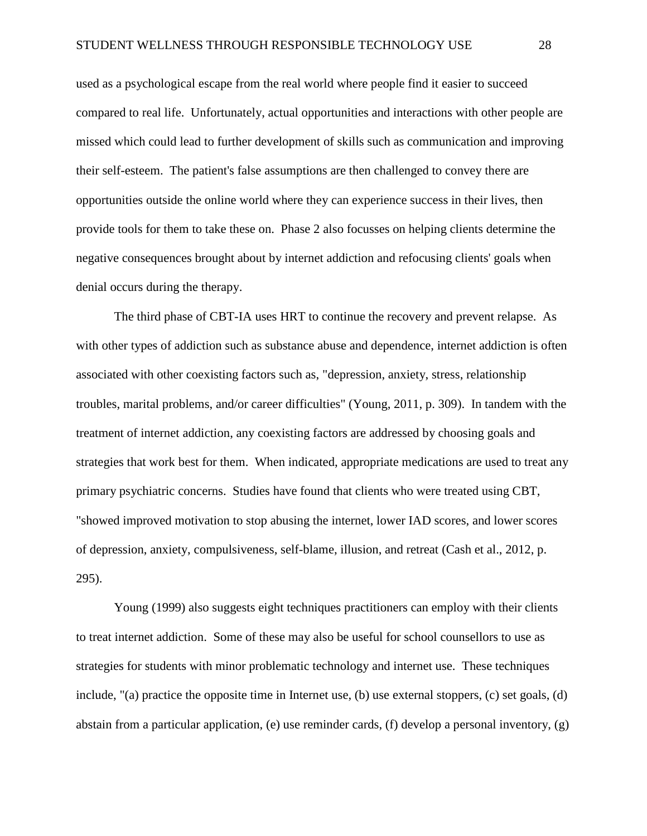used as a psychological escape from the real world where people find it easier to succeed compared to real life. Unfortunately, actual opportunities and interactions with other people are missed which could lead to further development of skills such as communication and improving their self-esteem. The patient's false assumptions are then challenged to convey there are opportunities outside the online world where they can experience success in their lives, then provide tools for them to take these on. Phase 2 also focusses on helping clients determine the negative consequences brought about by internet addiction and refocusing clients' goals when denial occurs during the therapy.

The third phase of CBT-IA uses HRT to continue the recovery and prevent relapse. As with other types of addiction such as substance abuse and dependence, internet addiction is often associated with other coexisting factors such as, "depression, anxiety, stress, relationship troubles, marital problems, and/or career difficulties" (Young, 2011, p. 309). In tandem with the treatment of internet addiction, any coexisting factors are addressed by choosing goals and strategies that work best for them. When indicated, appropriate medications are used to treat any primary psychiatric concerns. Studies have found that clients who were treated using CBT, "showed improved motivation to stop abusing the internet, lower IAD scores, and lower scores of depression, anxiety, compulsiveness, self-blame, illusion, and retreat (Cash et al., 2012, p. 295).

Young (1999) also suggests eight techniques practitioners can employ with their clients to treat internet addiction. Some of these may also be useful for school counsellors to use as strategies for students with minor problematic technology and internet use. These techniques include, "(a) practice the opposite time in Internet use, (b) use external stoppers, (c) set goals, (d) abstain from a particular application, (e) use reminder cards, (f) develop a personal inventory, (g)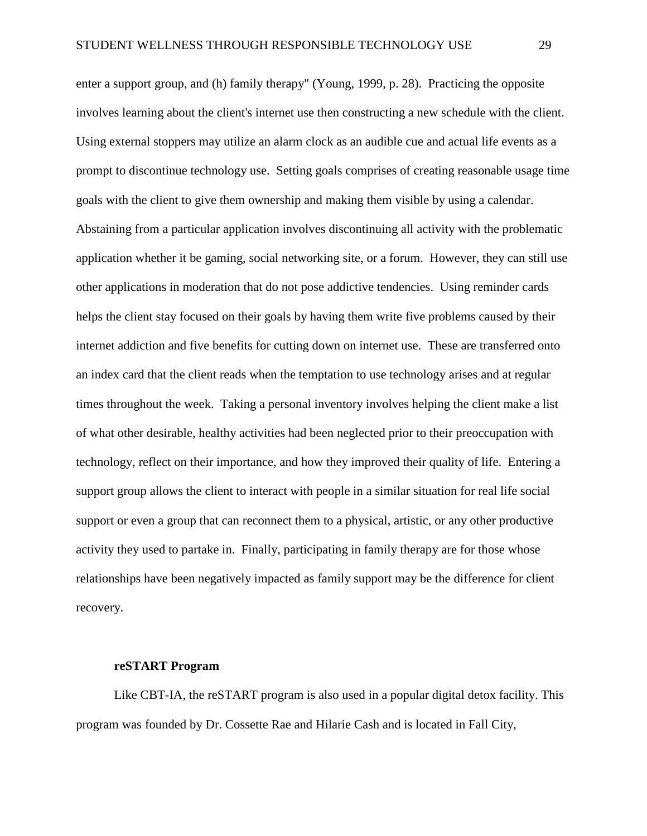enter a support group, and (h) family therapy" (Young, 1999, p. 28). Practicing the opposite involves learning about the client's internet use then constructing a new schedule with the client. Using external stoppers may utilize an alarm clock as an audible cue and actual life events as a prompt to discontinue technology use. Setting goals comprises of creating reasonable usage time goals with the client to give them ownership and making them visible by using a calendar. Abstaining from a particular application involves discontinuing all activity with the problematic application whether it be gaming, social networking site, or a forum. However, they can still use other applications in moderation that do not pose addictive tendencies. Using reminder cards helps the client stay focused on their goals by having them write five problems caused by their internet addiction and five benefits for cutting down on internet use. These are transferred onto an index card that the client reads when the temptation to use technology arises and at regular times throughout the week. Taking a personal inventory involves helping the client make a list of what other desirable, healthy activities had been neglected prior to their preoccupation with technology, reflect on their importance, and how they improved their quality of life. Entering a support group allows the client to interact with people in a similar situation for real life social support or even a group that can reconnect them to a physical, artistic, or any other productive activity they used to partake in. Finally, participating in family therapy are for those whose relationships have been negatively impacted as family support may be the difference for client recovery.

#### **reSTART Program**

<span id="page-34-0"></span>Like CBT-IA, the reSTART program is also used in a popular digital detox facility. This program was founded by Dr. Cossette Rae and Hilarie Cash and is located in Fall City,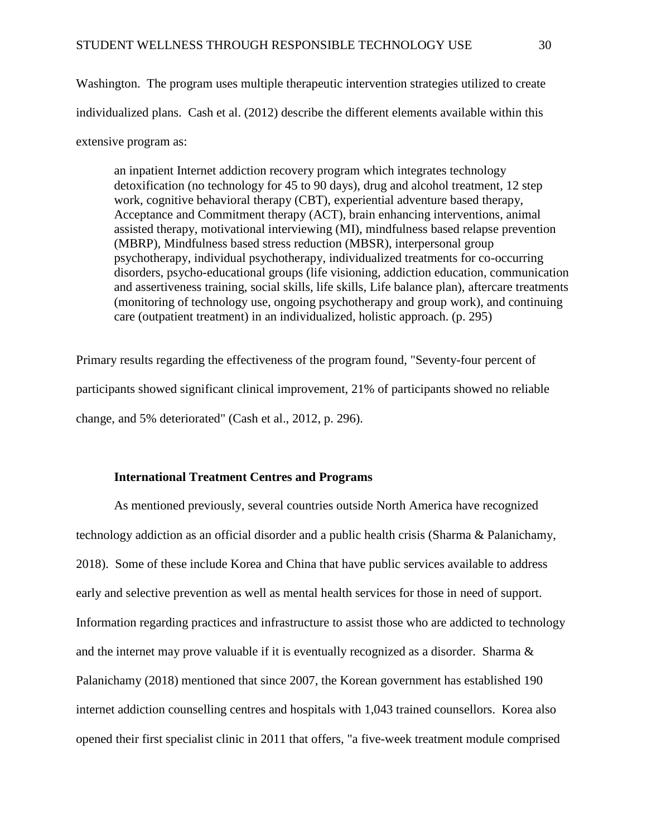Washington. The program uses multiple therapeutic intervention strategies utilized to create individualized plans. Cash et al. (2012) describe the different elements available within this extensive program as:

an inpatient Internet addiction recovery program which integrates technology detoxification (no technology for 45 to 90 days), drug and alcohol treatment, 12 step work, cognitive behavioral therapy (CBT), experiential adventure based therapy, Acceptance and Commitment therapy (ACT), brain enhancing interventions, animal assisted therapy, motivational interviewing (MI), mindfulness based relapse prevention (MBRP), Mindfulness based stress reduction (MBSR), interpersonal group psychotherapy, individual psychotherapy, individualized treatments for co-occurring disorders, psycho-educational groups (life visioning, addiction education, communication and assertiveness training, social skills, life skills, Life balance plan), aftercare treatments (monitoring of technology use, ongoing psychotherapy and group work), and continuing care (outpatient treatment) in an individualized, holistic approach. (p. 295)

Primary results regarding the effectiveness of the program found, "Seventy-four percent of participants showed significant clinical improvement, 21% of participants showed no reliable change, and 5% deteriorated" (Cash et al., 2012, p. 296).

#### **International Treatment Centres and Programs**

<span id="page-35-0"></span>As mentioned previously, several countries outside North America have recognized technology addiction as an official disorder and a public health crisis (Sharma & Palanichamy, 2018). Some of these include Korea and China that have public services available to address early and selective prevention as well as mental health services for those in need of support. Information regarding practices and infrastructure to assist those who are addicted to technology and the internet may prove valuable if it is eventually recognized as a disorder. Sharma  $\&$ Palanichamy (2018) mentioned that since 2007, the Korean government has established 190 internet addiction counselling centres and hospitals with 1,043 trained counsellors. Korea also opened their first specialist clinic in 2011 that offers, "a five-week treatment module comprised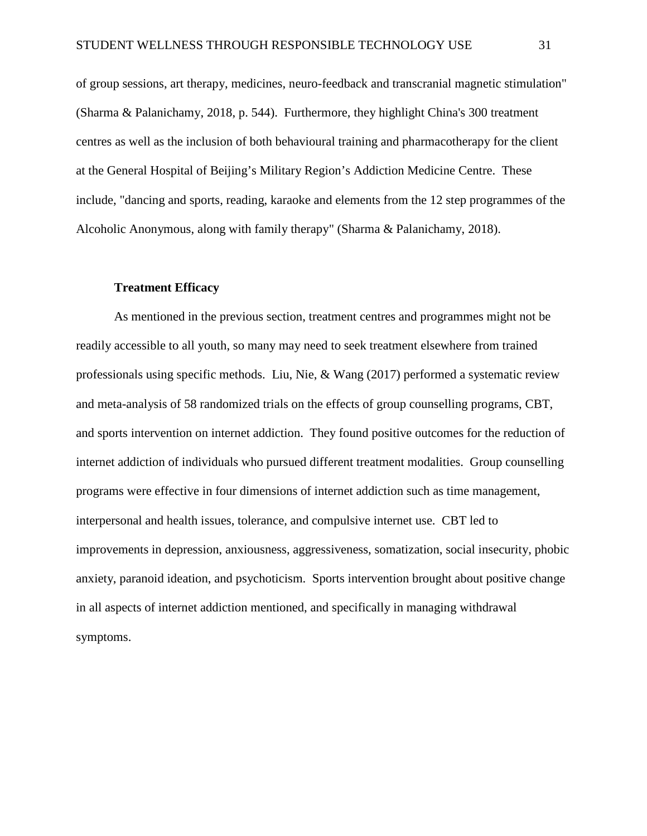of group sessions, art therapy, medicines, neuro-feedback and transcranial magnetic stimulation" (Sharma & Palanichamy, 2018, p. 544). Furthermore, they highlight China's 300 treatment centres as well as the inclusion of both behavioural training and pharmacotherapy for the client at the General Hospital of Beijing's Military Region's Addiction Medicine Centre. These include, "dancing and sports, reading, karaoke and elements from the 12 step programmes of the Alcoholic Anonymous, along with family therapy" (Sharma & Palanichamy, 2018).

#### **Treatment Efficacy**

<span id="page-36-0"></span>As mentioned in the previous section, treatment centres and programmes might not be readily accessible to all youth, so many may need to seek treatment elsewhere from trained professionals using specific methods. Liu, Nie, & Wang (2017) performed a systematic review and meta-analysis of 58 randomized trials on the effects of group counselling programs, CBT, and sports intervention on internet addiction. They found positive outcomes for the reduction of internet addiction of individuals who pursued different treatment modalities. Group counselling programs were effective in four dimensions of internet addiction such as time management, interpersonal and health issues, tolerance, and compulsive internet use. CBT led to improvements in depression, anxiousness, aggressiveness, somatization, social insecurity, phobic anxiety, paranoid ideation, and psychoticism. Sports intervention brought about positive change in all aspects of internet addiction mentioned, and specifically in managing withdrawal symptoms.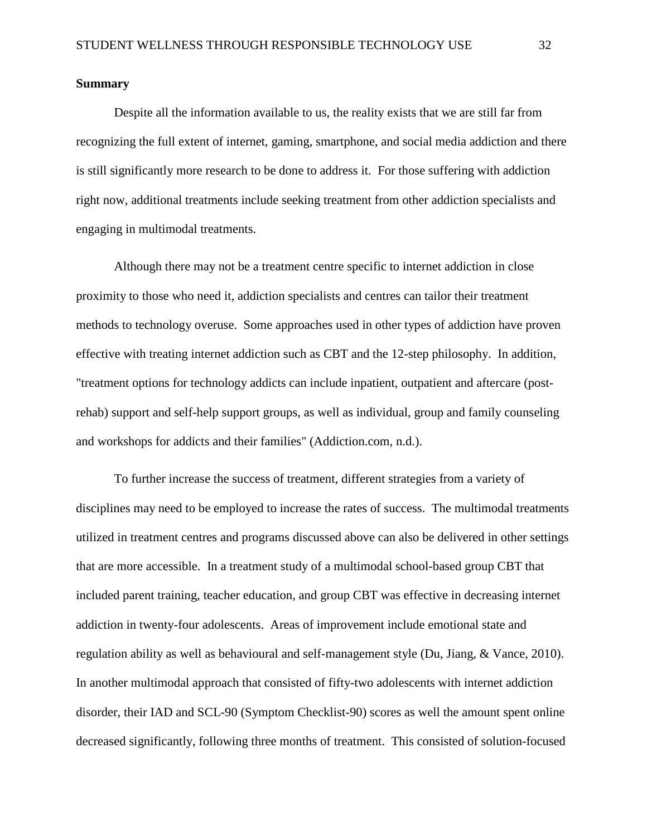#### <span id="page-37-0"></span>**Summary**

Despite all the information available to us, the reality exists that we are still far from recognizing the full extent of internet, gaming, smartphone, and social media addiction and there is still significantly more research to be done to address it. For those suffering with addiction right now, additional treatments include seeking treatment from other addiction specialists and engaging in multimodal treatments.

Although there may not be a treatment centre specific to internet addiction in close proximity to those who need it, addiction specialists and centres can tailor their treatment methods to technology overuse. Some approaches used in other types of addiction have proven effective with treating internet addiction such as CBT and the 12-step philosophy. In addition, "treatment options for technology addicts can include inpatient, outpatient and aftercare (postrehab) support and self-help support groups, as well as individual, group and family counseling and workshops for addicts and their families" (Addiction.com, n.d.).

To further increase the success of treatment, different strategies from a variety of disciplines may need to be employed to increase the rates of success. The multimodal treatments utilized in treatment centres and programs discussed above can also be delivered in other settings that are more accessible. In a treatment study of a multimodal school-based group CBT that included parent training, teacher education, and group CBT was effective in decreasing internet addiction in twenty-four adolescents. Areas of improvement include emotional state and regulation ability as well as behavioural and self-management style (Du, Jiang, & Vance, 2010). In another multimodal approach that consisted of fifty-two adolescents with internet addiction disorder, their IAD and SCL-90 (Symptom Checklist-90) scores as well the amount spent online decreased significantly, following three months of treatment. This consisted of solution-focused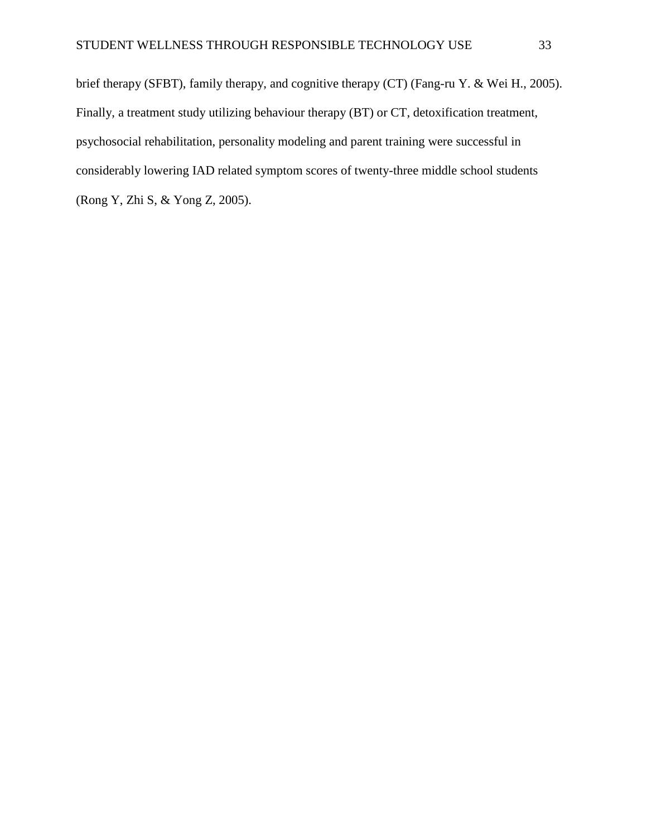brief therapy (SFBT), family therapy, and cognitive therapy (CT) (Fang-ru Y. & Wei H., 2005). Finally, a treatment study utilizing behaviour therapy (BT) or CT, detoxification treatment, psychosocial rehabilitation, personality modeling and parent training were successful in considerably lowering IAD related symptom scores of twenty-three middle school students (Rong Y, Zhi S, & Yong Z, 2005).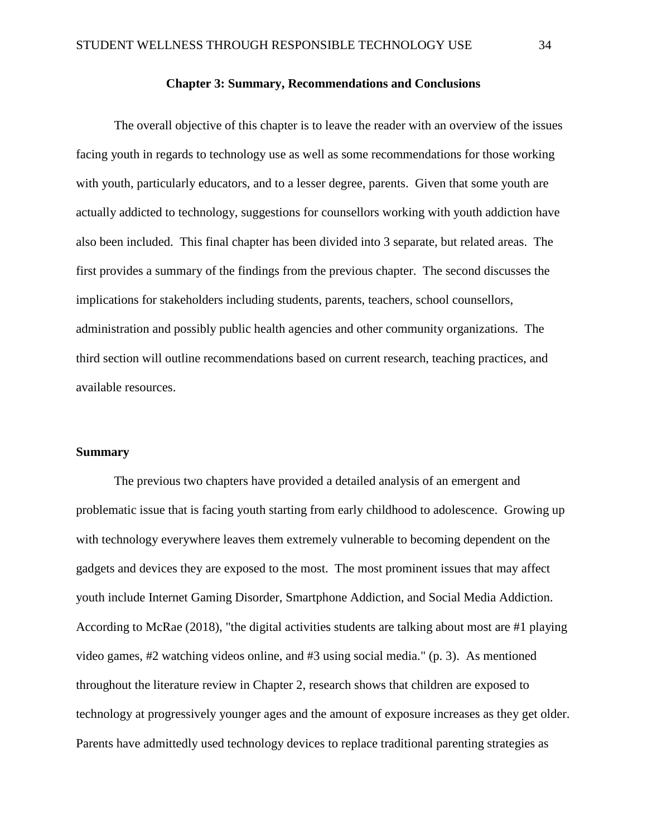#### **Chapter 3: Summary, Recommendations and Conclusions**

<span id="page-39-0"></span>The overall objective of this chapter is to leave the reader with an overview of the issues facing youth in regards to technology use as well as some recommendations for those working with youth, particularly educators, and to a lesser degree, parents. Given that some youth are actually addicted to technology, suggestions for counsellors working with youth addiction have also been included. This final chapter has been divided into 3 separate, but related areas. The first provides a summary of the findings from the previous chapter. The second discusses the implications for stakeholders including students, parents, teachers, school counsellors, administration and possibly public health agencies and other community organizations. The third section will outline recommendations based on current research, teaching practices, and available resources.

#### <span id="page-39-1"></span>**Summary**

The previous two chapters have provided a detailed analysis of an emergent and problematic issue that is facing youth starting from early childhood to adolescence. Growing up with technology everywhere leaves them extremely vulnerable to becoming dependent on the gadgets and devices they are exposed to the most. The most prominent issues that may affect youth include Internet Gaming Disorder, Smartphone Addiction, and Social Media Addiction. According to McRae (2018), "the digital activities students are talking about most are #1 playing video games, #2 watching videos online, and #3 using social media." (p. 3). As mentioned throughout the literature review in Chapter 2, research shows that children are exposed to technology at progressively younger ages and the amount of exposure increases as they get older. Parents have admittedly used technology devices to replace traditional parenting strategies as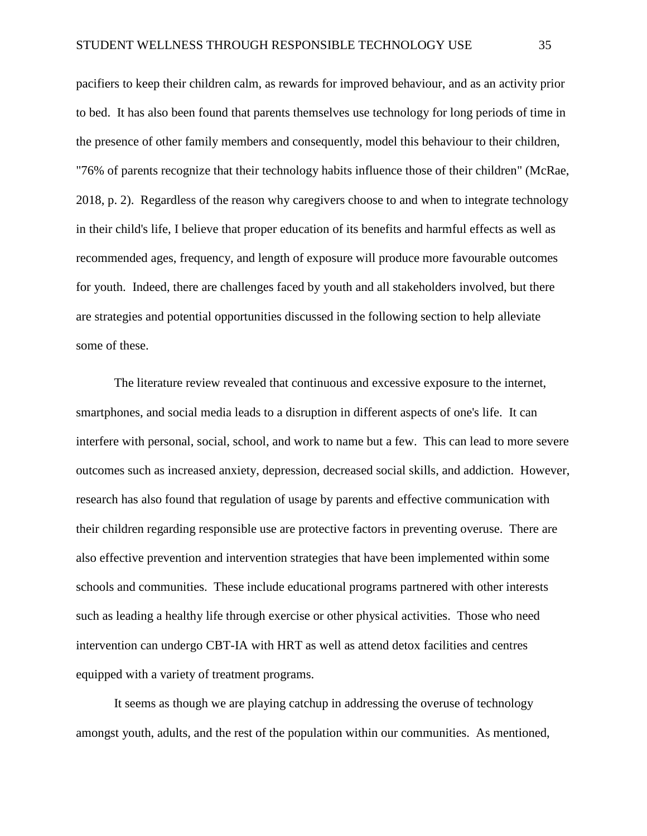pacifiers to keep their children calm, as rewards for improved behaviour, and as an activity prior to bed. It has also been found that parents themselves use technology for long periods of time in the presence of other family members and consequently, model this behaviour to their children, "76% of parents recognize that their technology habits influence those of their children" (McRae, 2018, p. 2). Regardless of the reason why caregivers choose to and when to integrate technology in their child's life, I believe that proper education of its benefits and harmful effects as well as recommended ages, frequency, and length of exposure will produce more favourable outcomes for youth. Indeed, there are challenges faced by youth and all stakeholders involved, but there are strategies and potential opportunities discussed in the following section to help alleviate some of these.

The literature review revealed that continuous and excessive exposure to the internet, smartphones, and social media leads to a disruption in different aspects of one's life. It can interfere with personal, social, school, and work to name but a few. This can lead to more severe outcomes such as increased anxiety, depression, decreased social skills, and addiction. However, research has also found that regulation of usage by parents and effective communication with their children regarding responsible use are protective factors in preventing overuse. There are also effective prevention and intervention strategies that have been implemented within some schools and communities. These include educational programs partnered with other interests such as leading a healthy life through exercise or other physical activities. Those who need intervention can undergo CBT-IA with HRT as well as attend detox facilities and centres equipped with a variety of treatment programs.

It seems as though we are playing catchup in addressing the overuse of technology amongst youth, adults, and the rest of the population within our communities. As mentioned,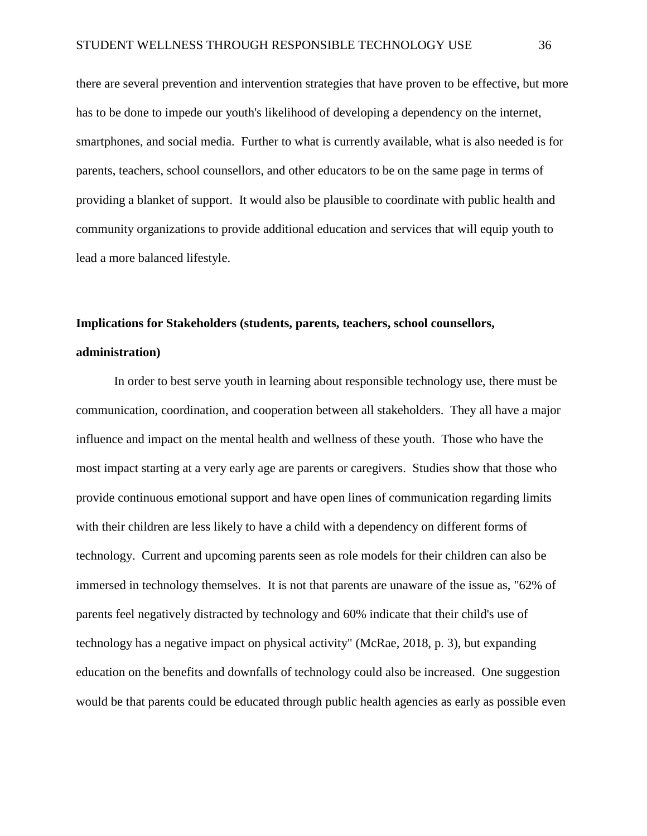there are several prevention and intervention strategies that have proven to be effective, but more has to be done to impede our youth's likelihood of developing a dependency on the internet, smartphones, and social media. Further to what is currently available, what is also needed is for parents, teachers, school counsellors, and other educators to be on the same page in terms of providing a blanket of support. It would also be plausible to coordinate with public health and community organizations to provide additional education and services that will equip youth to lead a more balanced lifestyle.

# <span id="page-41-0"></span>**Implications for Stakeholders (students, parents, teachers, school counsellors, administration)**

In order to best serve youth in learning about responsible technology use, there must be communication, coordination, and cooperation between all stakeholders. They all have a major influence and impact on the mental health and wellness of these youth. Those who have the most impact starting at a very early age are parents or caregivers. Studies show that those who provide continuous emotional support and have open lines of communication regarding limits with their children are less likely to have a child with a dependency on different forms of technology. Current and upcoming parents seen as role models for their children can also be immersed in technology themselves. It is not that parents are unaware of the issue as, "62% of parents feel negatively distracted by technology and 60% indicate that their child's use of technology has a negative impact on physical activity" (McRae, 2018, p. 3), but expanding education on the benefits and downfalls of technology could also be increased. One suggestion would be that parents could be educated through public health agencies as early as possible even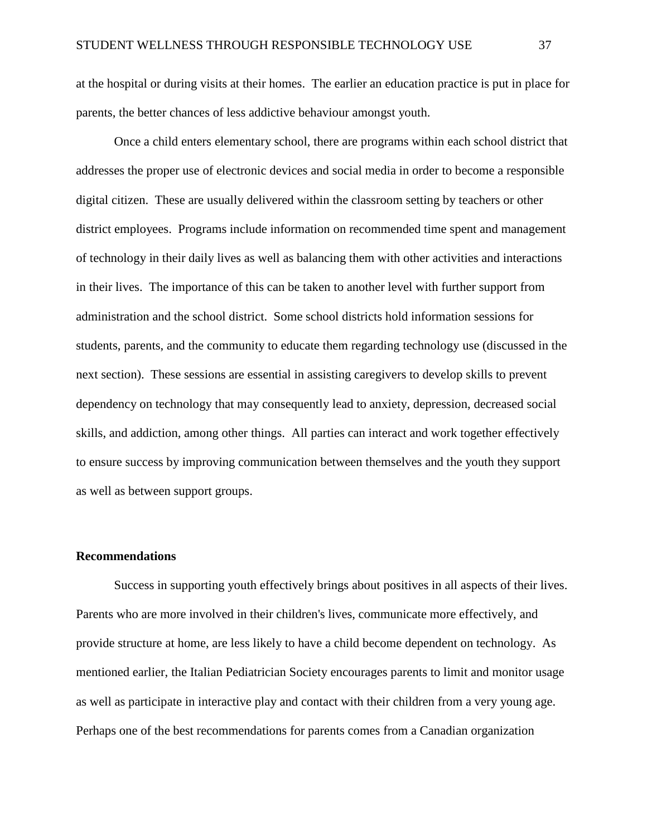at the hospital or during visits at their homes. The earlier an education practice is put in place for parents, the better chances of less addictive behaviour amongst youth.

Once a child enters elementary school, there are programs within each school district that addresses the proper use of electronic devices and social media in order to become a responsible digital citizen. These are usually delivered within the classroom setting by teachers or other district employees. Programs include information on recommended time spent and management of technology in their daily lives as well as balancing them with other activities and interactions in their lives. The importance of this can be taken to another level with further support from administration and the school district. Some school districts hold information sessions for students, parents, and the community to educate them regarding technology use (discussed in the next section). These sessions are essential in assisting caregivers to develop skills to prevent dependency on technology that may consequently lead to anxiety, depression, decreased social skills, and addiction, among other things. All parties can interact and work together effectively to ensure success by improving communication between themselves and the youth they support as well as between support groups.

#### <span id="page-42-0"></span>**Recommendations**

Success in supporting youth effectively brings about positives in all aspects of their lives. Parents who are more involved in their children's lives, communicate more effectively, and provide structure at home, are less likely to have a child become dependent on technology. As mentioned earlier, the Italian Pediatrician Society encourages parents to limit and monitor usage as well as participate in interactive play and contact with their children from a very young age. Perhaps one of the best recommendations for parents comes from a Canadian organization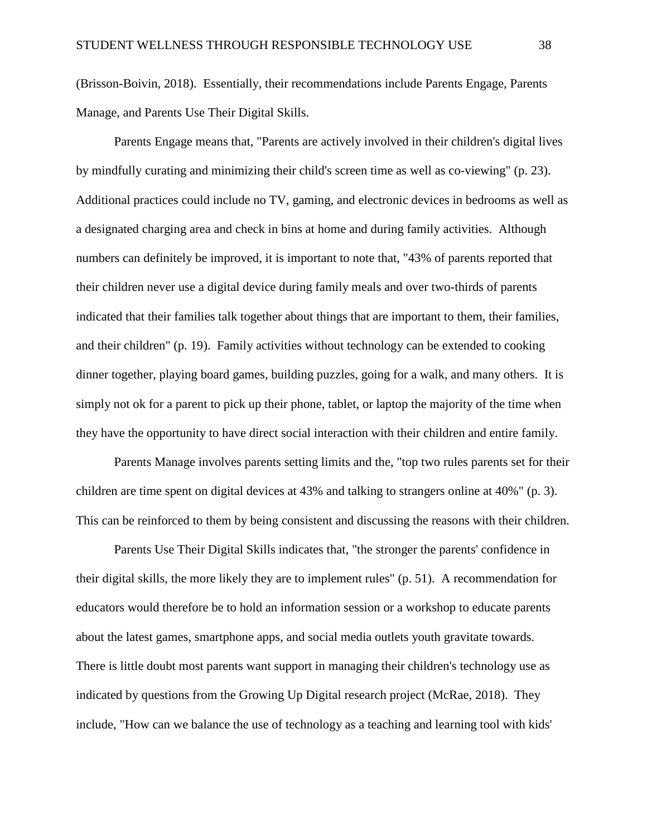(Brisson-Boivin, 2018). Essentially, their recommendations include Parents Engage, Parents Manage, and Parents Use Their Digital Skills.

Parents Engage means that, "Parents are actively involved in their children's digital lives by mindfully curating and minimizing their child's screen time as well as co-viewing" (p. 23). Additional practices could include no TV, gaming, and electronic devices in bedrooms as well as a designated charging area and check in bins at home and during family activities. Although numbers can definitely be improved, it is important to note that, "43% of parents reported that their children never use a digital device during family meals and over two-thirds of parents indicated that their families talk together about things that are important to them, their families, and their children" (p. 19). Family activities without technology can be extended to cooking dinner together, playing board games, building puzzles, going for a walk, and many others. It is simply not ok for a parent to pick up their phone, tablet, or laptop the majority of the time when they have the opportunity to have direct social interaction with their children and entire family.

Parents Manage involves parents setting limits and the, "top two rules parents set for their children are time spent on digital devices at 43% and talking to strangers online at 40%" (p. 3). This can be reinforced to them by being consistent and discussing the reasons with their children.

Parents Use Their Digital Skills indicates that, "the stronger the parents' confidence in their digital skills, the more likely they are to implement rules" (p. 51). A recommendation for educators would therefore be to hold an information session or a workshop to educate parents about the latest games, smartphone apps, and social media outlets youth gravitate towards. There is little doubt most parents want support in managing their children's technology use as indicated by questions from the Growing Up Digital research project (McRae, 2018). They include, "How can we balance the use of technology as a teaching and learning tool with kids'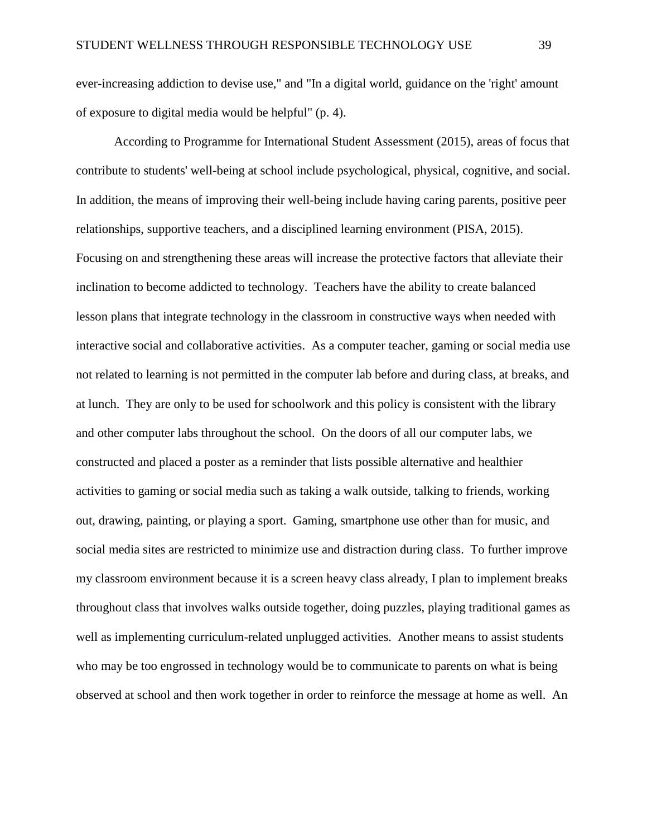ever-increasing addiction to devise use," and "In a digital world, guidance on the 'right' amount of exposure to digital media would be helpful" (p. 4).

According to Programme for International Student Assessment (2015), areas of focus that contribute to students' well-being at school include psychological, physical, cognitive, and social. In addition, the means of improving their well-being include having caring parents, positive peer relationships, supportive teachers, and a disciplined learning environment (PISA, 2015). Focusing on and strengthening these areas will increase the protective factors that alleviate their inclination to become addicted to technology. Teachers have the ability to create balanced lesson plans that integrate technology in the classroom in constructive ways when needed with interactive social and collaborative activities. As a computer teacher, gaming or social media use not related to learning is not permitted in the computer lab before and during class, at breaks, and at lunch. They are only to be used for schoolwork and this policy is consistent with the library and other computer labs throughout the school. On the doors of all our computer labs, we constructed and placed a poster as a reminder that lists possible alternative and healthier activities to gaming or social media such as taking a walk outside, talking to friends, working out, drawing, painting, or playing a sport. Gaming, smartphone use other than for music, and social media sites are restricted to minimize use and distraction during class. To further improve my classroom environment because it is a screen heavy class already, I plan to implement breaks throughout class that involves walks outside together, doing puzzles, playing traditional games as well as implementing curriculum-related unplugged activities. Another means to assist students who may be too engrossed in technology would be to communicate to parents on what is being observed at school and then work together in order to reinforce the message at home as well. An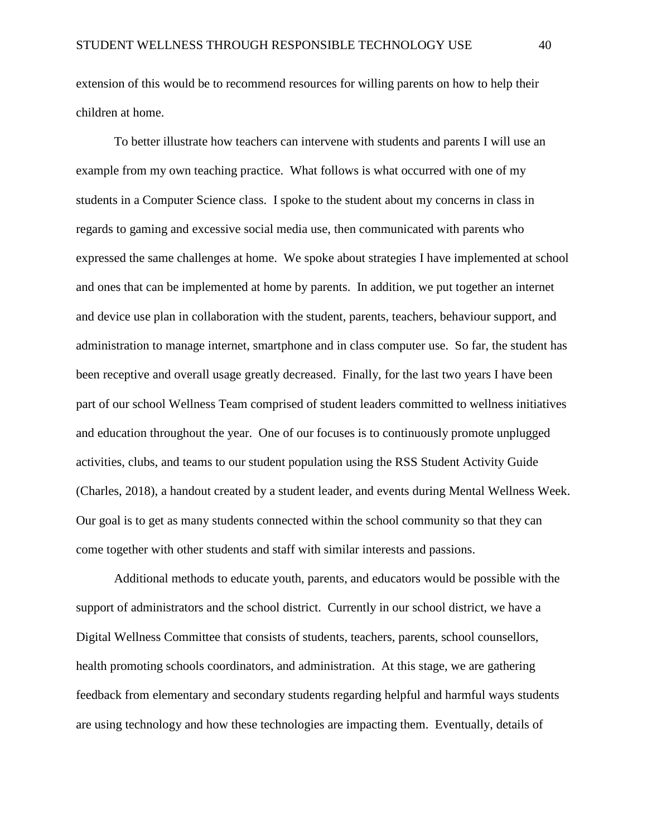extension of this would be to recommend resources for willing parents on how to help their children at home.

To better illustrate how teachers can intervene with students and parents I will use an example from my own teaching practice. What follows is what occurred with one of my students in a Computer Science class. I spoke to the student about my concerns in class in regards to gaming and excessive social media use, then communicated with parents who expressed the same challenges at home. We spoke about strategies I have implemented at school and ones that can be implemented at home by parents. In addition, we put together an internet and device use plan in collaboration with the student, parents, teachers, behaviour support, and administration to manage internet, smartphone and in class computer use. So far, the student has been receptive and overall usage greatly decreased. Finally, for the last two years I have been part of our school Wellness Team comprised of student leaders committed to wellness initiatives and education throughout the year. One of our focuses is to continuously promote unplugged activities, clubs, and teams to our student population using the RSS Student Activity Guide (Charles, 2018), a handout created by a student leader, and events during Mental Wellness Week. Our goal is to get as many students connected within the school community so that they can come together with other students and staff with similar interests and passions.

Additional methods to educate youth, parents, and educators would be possible with the support of administrators and the school district. Currently in our school district, we have a Digital Wellness Committee that consists of students, teachers, parents, school counsellors, health promoting schools coordinators, and administration. At this stage, we are gathering feedback from elementary and secondary students regarding helpful and harmful ways students are using technology and how these technologies are impacting them. Eventually, details of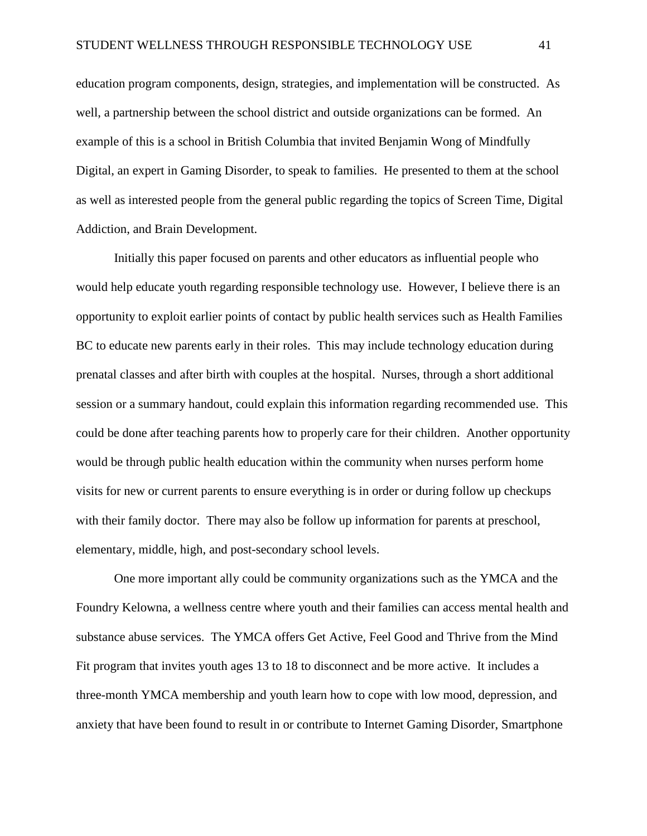education program components, design, strategies, and implementation will be constructed. As well, a partnership between the school district and outside organizations can be formed. An example of this is a school in British Columbia that invited Benjamin Wong of Mindfully Digital, an expert in Gaming Disorder, to speak to families. He presented to them at the school as well as interested people from the general public regarding the topics of Screen Time, Digital Addiction, and Brain Development.

Initially this paper focused on parents and other educators as influential people who would help educate youth regarding responsible technology use. However, I believe there is an opportunity to exploit earlier points of contact by public health services such as Health Families BC to educate new parents early in their roles. This may include technology education during prenatal classes and after birth with couples at the hospital. Nurses, through a short additional session or a summary handout, could explain this information regarding recommended use. This could be done after teaching parents how to properly care for their children. Another opportunity would be through public health education within the community when nurses perform home visits for new or current parents to ensure everything is in order or during follow up checkups with their family doctor. There may also be follow up information for parents at preschool, elementary, middle, high, and post-secondary school levels.

One more important ally could be community organizations such as the YMCA and the Foundry Kelowna, a wellness centre where youth and their families can access mental health and substance abuse services. The YMCA offers Get Active, Feel Good and Thrive from the Mind Fit program that invites youth ages 13 to 18 to disconnect and be more active. It includes a three-month YMCA membership and youth learn how to cope with low mood, depression, and anxiety that have been found to result in or contribute to Internet Gaming Disorder, Smartphone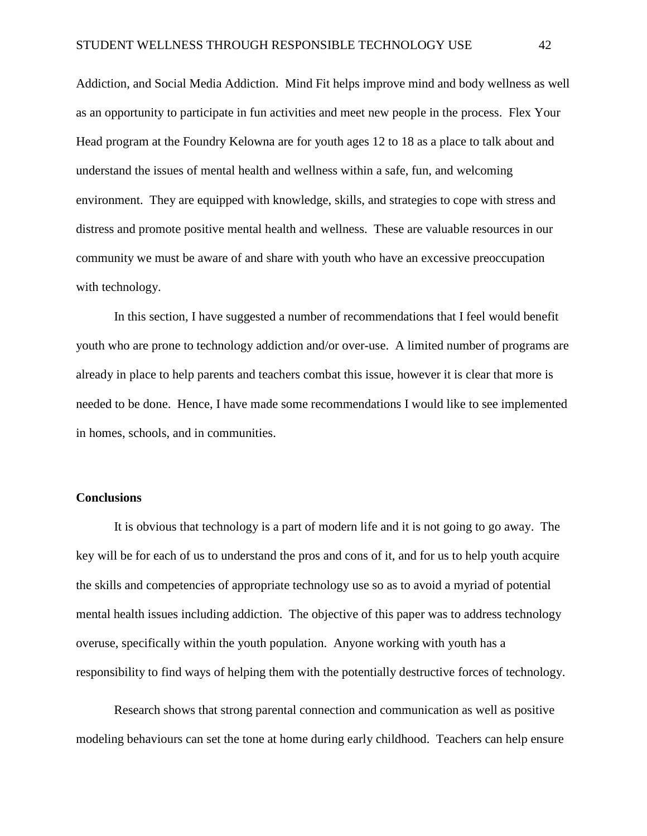Addiction, and Social Media Addiction. Mind Fit helps improve mind and body wellness as well as an opportunity to participate in fun activities and meet new people in the process. Flex Your Head program at the Foundry Kelowna are for youth ages 12 to 18 as a place to talk about and understand the issues of mental health and wellness within a safe, fun, and welcoming environment. They are equipped with knowledge, skills, and strategies to cope with stress and distress and promote positive mental health and wellness. These are valuable resources in our community we must be aware of and share with youth who have an excessive preoccupation with technology.

In this section, I have suggested a number of recommendations that I feel would benefit youth who are prone to technology addiction and/or over-use. A limited number of programs are already in place to help parents and teachers combat this issue, however it is clear that more is needed to be done. Hence, I have made some recommendations I would like to see implemented in homes, schools, and in communities.

#### <span id="page-47-0"></span>**Conclusions**

It is obvious that technology is a part of modern life and it is not going to go away. The key will be for each of us to understand the pros and cons of it, and for us to help youth acquire the skills and competencies of appropriate technology use so as to avoid a myriad of potential mental health issues including addiction. The objective of this paper was to address technology overuse, specifically within the youth population. Anyone working with youth has a responsibility to find ways of helping them with the potentially destructive forces of technology.

Research shows that strong parental connection and communication as well as positive modeling behaviours can set the tone at home during early childhood. Teachers can help ensure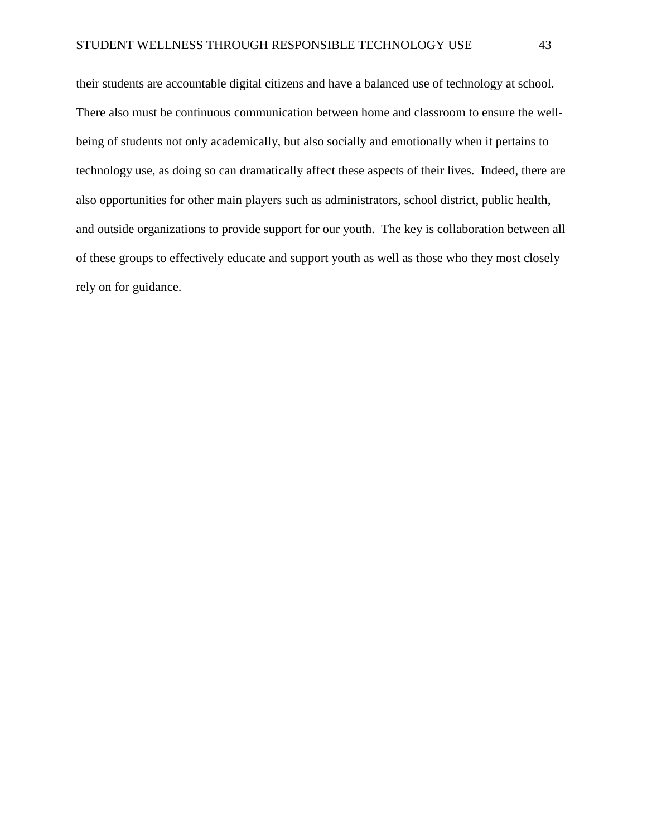their students are accountable digital citizens and have a balanced use of technology at school. There also must be continuous communication between home and classroom to ensure the wellbeing of students not only academically, but also socially and emotionally when it pertains to technology use, as doing so can dramatically affect these aspects of their lives. Indeed, there are also opportunities for other main players such as administrators, school district, public health, and outside organizations to provide support for our youth. The key is collaboration between all of these groups to effectively educate and support youth as well as those who they most closely rely on for guidance.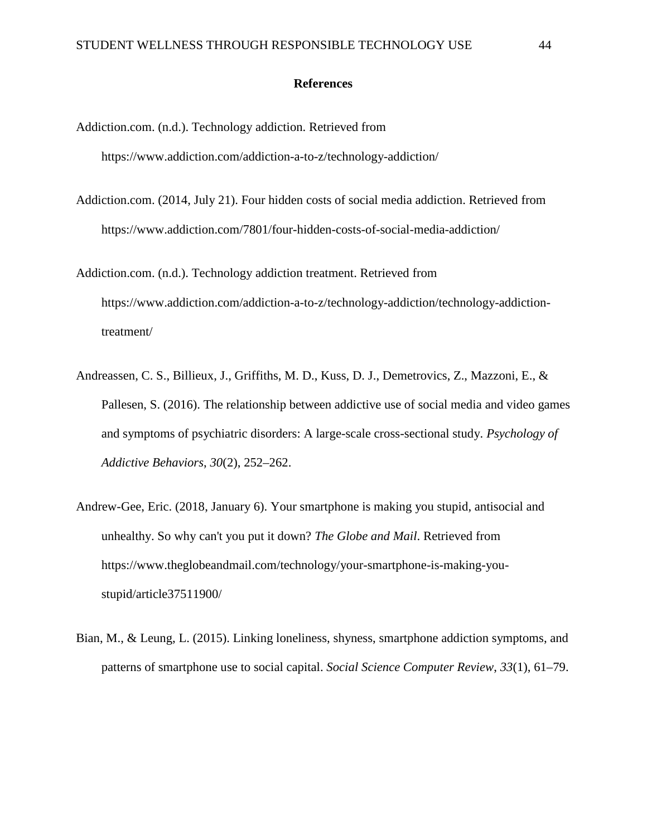#### **References**

- <span id="page-49-0"></span>Addiction.com. (n.d.). Technology addiction. Retrieved from https://www.addiction.com/addiction-a-to-z/technology-addiction/
- Addiction.com. (2014, July 21). Four hidden costs of social media addiction. Retrieved from https://www.addiction.com/7801/four-hidden-costs-of-social-media-addiction/
- Addiction.com. (n.d.). Technology addiction treatment. Retrieved from https://www.addiction.com/addiction-a-to-z/technology-addiction/technology-addictiontreatment/
- Andreassen, C. S., Billieux, J., Griffiths, M. D., Kuss, D. J., Demetrovics, Z., Mazzoni, E., & Pallesen, S. (2016). The relationship between addictive use of social media and video games and symptoms of psychiatric disorders: A large-scale cross-sectional study. *Psychology of Addictive Behaviors*, *30*(2), 252–262.
- Andrew-Gee, Eric. (2018, January 6). Your smartphone is making you stupid, antisocial and unhealthy. So why can't you put it down? *The Globe and Mail*. Retrieved from https://www.theglobeandmail.com/technology/your-smartphone-is-making-youstupid/article37511900/
- Bian, M., & Leung, L. (2015). Linking loneliness, shyness, smartphone addiction symptoms, and patterns of smartphone use to social capital. *Social Science Computer Review*, *33*(1), 61–79.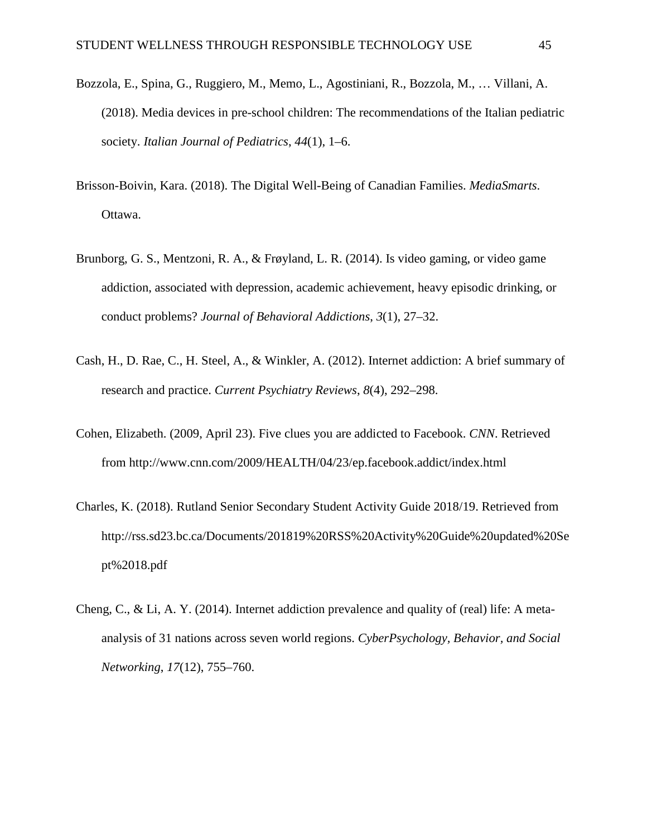- Bozzola, E., Spina, G., Ruggiero, M., Memo, L., Agostiniani, R., Bozzola, M., … Villani, A. (2018). Media devices in pre-school children: The recommendations of the Italian pediatric society. *Italian Journal of Pediatrics*, *44*(1), 1–6.
- Brisson-Boivin, Kara. (2018). The Digital Well-Being of Canadian Families. *MediaSmarts*. Ottawa.
- Brunborg, G. S., Mentzoni, R. A., & Frøyland, L. R. (2014). Is video gaming, or video game addiction, associated with depression, academic achievement, heavy episodic drinking, or conduct problems? *Journal of Behavioral Addictions*, *3*(1), 27–32.
- Cash, H., D. Rae, C., H. Steel, A., & Winkler, A. (2012). Internet addiction: A brief summary of research and practice. *Current Psychiatry Reviews*, *8*(4), 292–298.
- Cohen, Elizabeth. (2009, April 23). Five clues you are addicted to Facebook. *CNN*. Retrieved from http://www.cnn.com/2009/HEALTH/04/23/ep.facebook.addict/index.html
- Charles, K. (2018). Rutland Senior Secondary Student Activity Guide 2018/19. Retrieved from http://rss.sd23.bc.ca/Documents/201819%20RSS%20Activity%20Guide%20updated%20Se pt%2018.pdf
- Cheng, C., & Li, A. Y. (2014). Internet addiction prevalence and quality of (real) life: A metaanalysis of 31 nations across seven world regions. *CyberPsychology, Behavior, and Social Networking*, *17*(12), 755–760.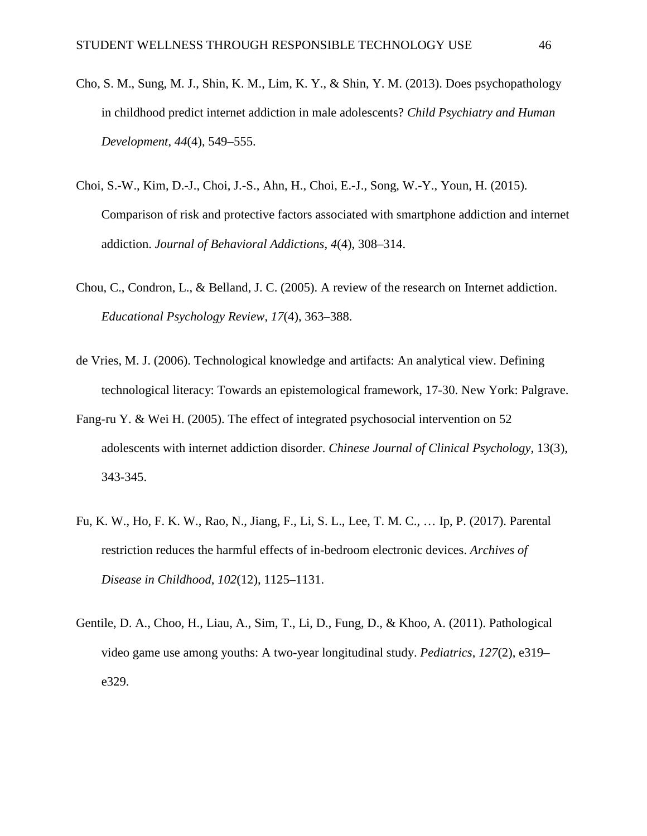- Cho, S. M., Sung, M. J., Shin, K. M., Lim, K. Y., & Shin, Y. M. (2013). Does psychopathology in childhood predict internet addiction in male adolescents? *Child Psychiatry and Human Development*, *44*(4), 549–555.
- Choi, S.-W., Kim, D.-J., Choi, J.-S., Ahn, H., Choi, E.-J., Song, W.-Y., Youn, H. (2015). Comparison of risk and protective factors associated with smartphone addiction and internet addiction. *Journal of Behavioral Addictions*, *4*(4), 308–314.
- Chou, C., Condron, L., & Belland, J. C. (2005). A review of the research on Internet addiction. *Educational Psychology Review*, *17*(4), 363–388.
- de Vries, M. J. (2006). Technological knowledge and artifacts: An analytical view. Defining technological literacy: Towards an epistemological framework, 17-30. New York: Palgrave.
- Fang-ru Y. & Wei H. (2005). The effect of integrated psychosocial intervention on 52 adolescents with internet addiction disorder. *Chinese Journal of Clinical Psychology*, 13(3), 343-345.
- Fu, K. W., Ho, F. K. W., Rao, N., Jiang, F., Li, S. L., Lee, T. M. C., … Ip, P. (2017). Parental restriction reduces the harmful effects of in-bedroom electronic devices. *Archives of Disease in Childhood*, *102*(12), 1125–1131.
- Gentile, D. A., Choo, H., Liau, A., Sim, T., Li, D., Fung, D., & Khoo, A. (2011). Pathological video game use among youths: A two-year longitudinal study. *Pediatrics*, *127*(2), e319– e329.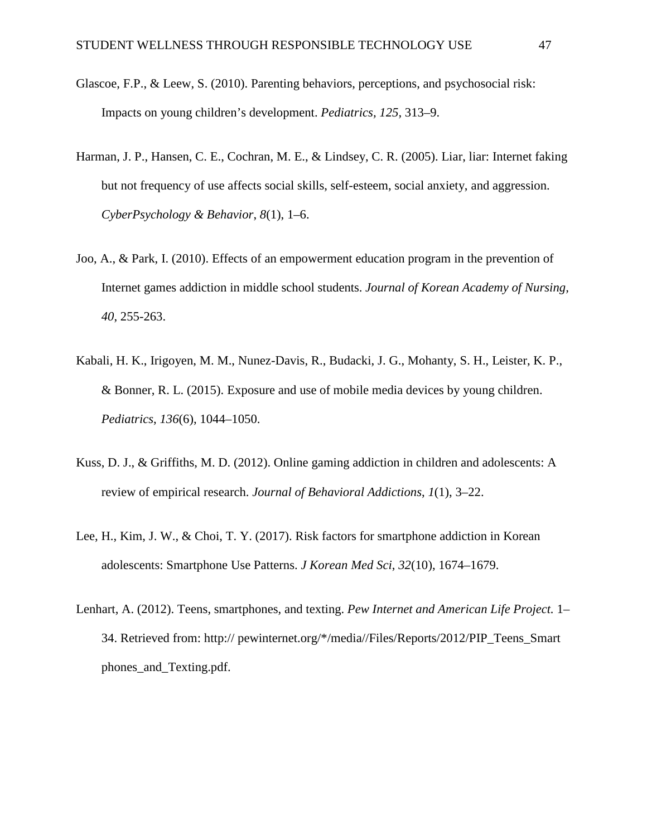- Glascoe, F.P., & Leew, S. (2010). Parenting behaviors, perceptions, and psychosocial risk: Impacts on young children's development. *Pediatrics, 125,* 313–9.
- Harman, J. P., Hansen, C. E., Cochran, M. E., & Lindsey, C. R. (2005). Liar, liar: Internet faking but not frequency of use affects social skills, self-esteem, social anxiety, and aggression. *CyberPsychology & Behavior*, *8*(1), 1–6.
- Joo, A., & Park, I. (2010). Effects of an empowerment education program in the prevention of Internet games addiction in middle school students. *Journal of Korean Academy of Nursing, 40*, 255-263.
- Kabali, H. K., Irigoyen, M. M., Nunez-Davis, R., Budacki, J. G., Mohanty, S. H., Leister, K. P., & Bonner, R. L. (2015). Exposure and use of mobile media devices by young children. *Pediatrics*, *136*(6), 1044–1050.
- Kuss, D. J., & Griffiths, M. D. (2012). Online gaming addiction in children and adolescents: A review of empirical research. *Journal of Behavioral Addictions*, *1*(1), 3–22.
- Lee, H., Kim, J. W., & Choi, T. Y. (2017). Risk factors for smartphone addiction in Korean adolescents: Smartphone Use Patterns. *J Korean Med Sci*, *32*(10), 1674–1679.
- Lenhart, A. (2012). Teens, smartphones, and texting. *Pew Internet and American Life Project.* 1– 34. Retrieved from: http:// pewinternet.org/\*/media//Files/Reports/2012/PIP\_Teens\_Smart phones\_and\_Texting.pdf.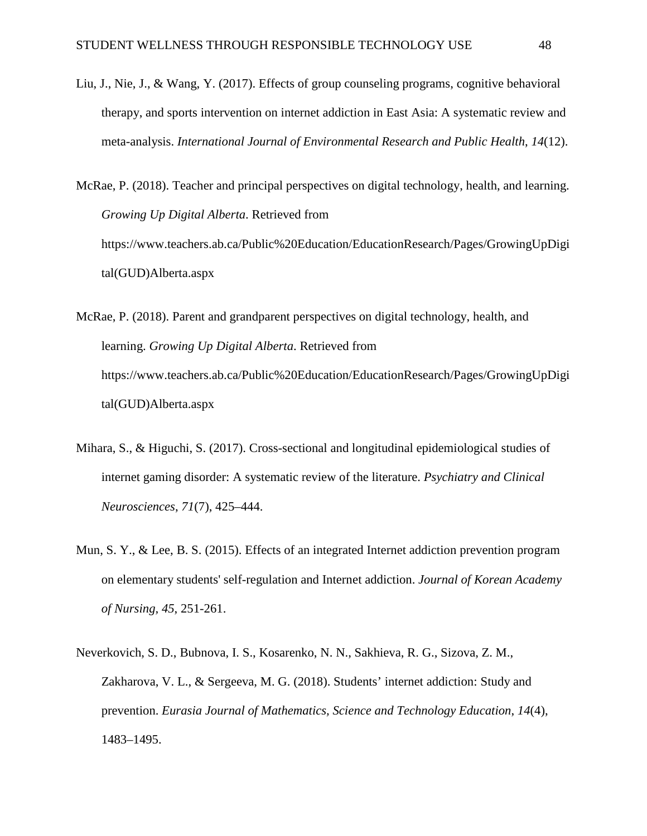Liu, J., Nie, J., & Wang, Y. (2017). Effects of group counseling programs, cognitive behavioral therapy, and sports intervention on internet addiction in East Asia: A systematic review and meta-analysis. *International Journal of Environmental Research and Public Health*, *14*(12).

McRae, P. (2018). Teacher and principal perspectives on digital technology, health, and learning. *Growing Up Digital Alberta*. Retrieved from https://www.teachers.ab.ca/Public%20Education/EducationResearch/Pages/GrowingUpDigi tal(GUD)Alberta.aspx

- McRae, P. (2018). Parent and grandparent perspectives on digital technology, health, and learning. *Growing Up Digital Alberta*. Retrieved from https://www.teachers.ab.ca/Public%20Education/EducationResearch/Pages/GrowingUpDigi tal(GUD)Alberta.aspx
- Mihara, S., & Higuchi, S. (2017). Cross-sectional and longitudinal epidemiological studies of internet gaming disorder: A systematic review of the literature. *Psychiatry and Clinical Neurosciences*, *71*(7), 425–444.
- Mun, S. Y., & Lee, B. S. (2015). Effects of an integrated Internet addiction prevention program on elementary students' self-regulation and Internet addiction. *Journal of Korean Academy of Nursing, 45*, 251-261.
- Neverkovich, S. D., Bubnova, I. S., Kosarenko, N. N., Sakhieva, R. G., Sizova, Z. M., Zakharova, V. L., & Sergeeva, M. G. (2018). Students' internet addiction: Study and prevention. *Eurasia Journal of Mathematics, Science and Technology Education*, *14*(4), 1483–1495.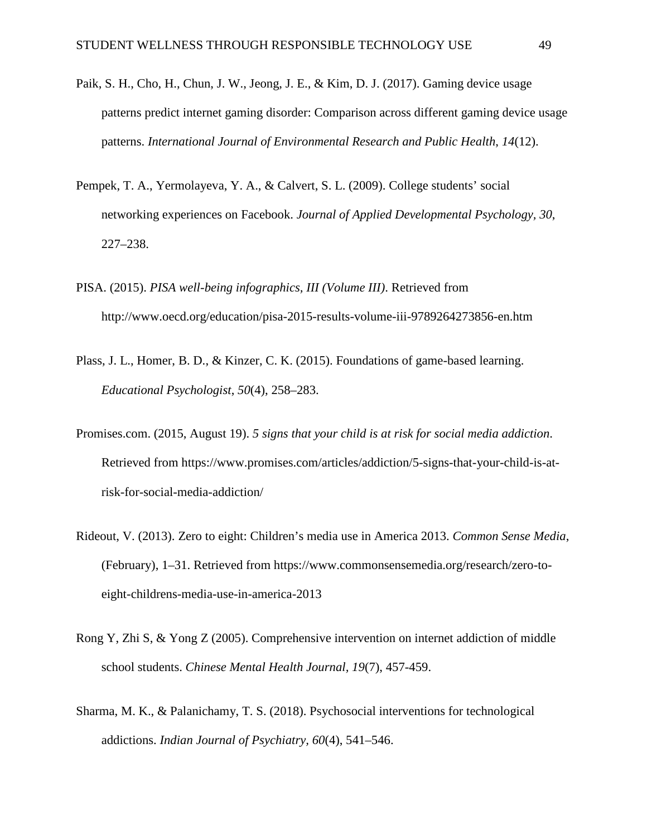- Paik, S. H., Cho, H., Chun, J. W., Jeong, J. E., & Kim, D. J. (2017). Gaming device usage patterns predict internet gaming disorder: Comparison across different gaming device usage patterns. *International Journal of Environmental Research and Public Health*, *14*(12).
- Pempek, T. A., Yermolayeva, Y. A., & Calvert, S. L. (2009). College students' social networking experiences on Facebook. *Journal of Applied Developmental Psychology, 30*, 227–238.
- PISA. (2015). *PISA well-being infographics, III (Volume III)*. Retrieved from http://www.oecd.org/education/pisa-2015-results-volume-iii-9789264273856-en.htm
- Plass, J. L., Homer, B. D., & Kinzer, C. K. (2015). Foundations of game-based learning. *Educational Psychologist*, *50*(4), 258–283.
- Promises.com. (2015, August 19). *5 signs that your child is at risk for social media addiction*. Retrieved from https://www.promises.com/articles/addiction/5-signs-that-your-child-is-atrisk-for-social-media-addiction/
- Rideout, V. (2013). Zero to eight: Children's media use in America 2013. *Common Sense Media*, (February), 1–31. Retrieved from https://www.commonsensemedia.org/research/zero-toeight-childrens-media-use-in-america-2013
- Rong Y, Zhi S, & Yong Z (2005). Comprehensive intervention on internet addiction of middle school students. *Chinese Mental Health Journal, 19*(7), 457-459.
- Sharma, M. K., & Palanichamy, T. S. (2018). Psychosocial interventions for technological addictions. *Indian Journal of Psychiatry, 60*(4), 541–546.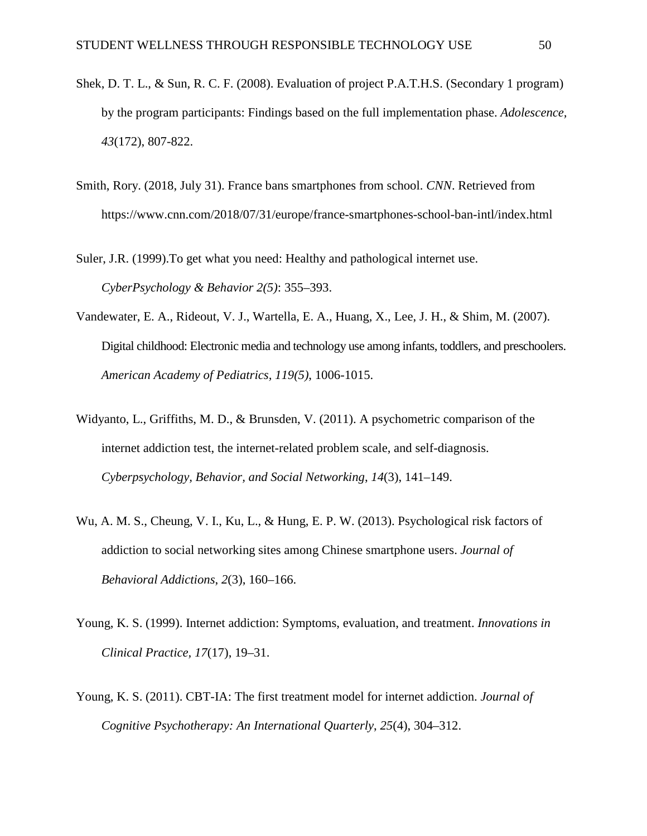- Shek, D. T. L., & Sun, R. C. F. (2008). Evaluation of project P.A.T.H.S. (Secondary 1 program) by the program participants: Findings based on the full implementation phase. *Adolescence, 43*(172), 807-822.
- Smith, Rory. (2018, July 31). France bans smartphones from school. *CNN*. Retrieved from https://www.cnn.com/2018/07/31/europe/france-smartphones-school-ban-intl/index.html

Suler, J.R. (1999).To get what you need: Healthy and pathological internet use. *CyberPsychology & Behavior 2(5)*: 355–393.

- Vandewater, E. A., Rideout, V. J., Wartella, E. A., Huang, X., Lee, J. H., & Shim, M. (2007). Digital childhood: Electronic media and technology use among infants, toddlers, and preschoolers. *American Academy of Pediatrics, 119(5)*, 1006-1015.
- Widyanto, L., Griffiths, M. D., & Brunsden, V. (2011). A psychometric comparison of the internet addiction test, the internet-related problem scale, and self-diagnosis. *Cyberpsychology, Behavior, and Social Networking*, *14*(3), 141–149.
- Wu, A. M. S., Cheung, V. I., Ku, L., & Hung, E. P. W. (2013). Psychological risk factors of addiction to social networking sites among Chinese smartphone users. *Journal of Behavioral Addictions*, *2*(3), 160–166.
- Young, K. S. (1999). Internet addiction: Symptoms, evaluation, and treatment. *Innovations in Clinical Practice, 17*(17), 19–31.
- Young, K. S. (2011). CBT-IA: The first treatment model for internet addiction. *Journal of Cognitive Psychotherapy: An International Quarterly*, *25*(4), 304–312.